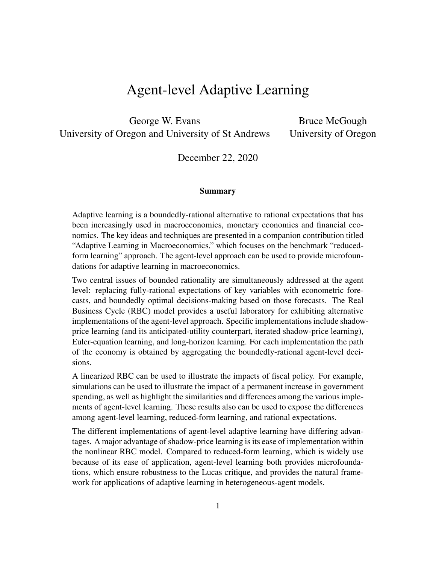# Agent-level Adaptive Learning

George W. Evans University of Oregon and University of St Andrews

Bruce McGough University of Oregon

December 22, 2020

#### Summary

Adaptive learning is a boundedly-rational alternative to rational expectations that has been increasingly used in macroeconomics, monetary economics and financial economics. The key ideas and techniques are presented in a companion contribution titled "Adaptive Learning in Macroeconomics," which focuses on the benchmark "reducedform learning" approach. The agent-level approach can be used to provide microfoundations for adaptive learning in macroeconomics.

Two central issues of bounded rationality are simultaneously addressed at the agent level: replacing fully-rational expectations of key variables with econometric forecasts, and boundedly optimal decisions-making based on those forecasts. The Real Business Cycle (RBC) model provides a useful laboratory for exhibiting alternative implementations of the agent-level approach. Specific implementations include shadowprice learning (and its anticipated-utility counterpart, iterated shadow-price learning), Euler-equation learning, and long-horizon learning. For each implementation the path of the economy is obtained by aggregating the boundedly-rational agent-level decisions.

A linearized RBC can be used to illustrate the impacts of fiscal policy. For example, simulations can be used to illustrate the impact of a permanent increase in government spending, as well as highlight the similarities and differences among the various implements of agent-level learning. These results also can be used to expose the differences among agent-level learning, reduced-form learning, and rational expectations.

The different implementations of agent-level adaptive learning have differing advantages. A major advantage of shadow-price learning is its ease of implementation within the nonlinear RBC model. Compared to reduced-form learning, which is widely use because of its ease of application, agent-level learning both provides microfoundations, which ensure robustness to the Lucas critique, and provides the natural framework for applications of adaptive learning in heterogeneous-agent models.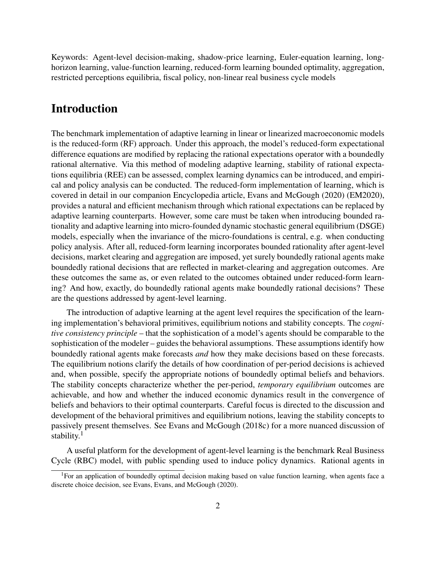Keywords: Agent-level decision-making, shadow-price learning, Euler-equation learning, longhorizon learning, value-function learning, reduced-form learning bounded optimality, aggregation, restricted perceptions equilibria, fiscal policy, non-linear real business cycle models

## Introduction

The benchmark implementation of adaptive learning in linear or linearized macroeconomic models is the reduced-form (RF) approach. Under this approach, the model's reduced-form expectational difference equations are modified by replacing the rational expectations operator with a boundedly rational alternative. Via this method of modeling adaptive learning, stability of rational expectations equilibria (REE) can be assessed, complex learning dynamics can be introduced, and empirical and policy analysis can be conducted. The reduced-form implementation of learning, which is covered in detail in our companion Encyclopedia article, Evans and McGough (2020) (EM2020), provides a natural and efficient mechanism through which rational expectations can be replaced by adaptive learning counterparts. However, some care must be taken when introducing bounded rationality and adaptive learning into micro-founded dynamic stochastic general equilibrium (DSGE) models, especially when the invariance of the micro-foundations is central, e.g. when conducting policy analysis. After all, reduced-form learning incorporates bounded rationality after agent-level decisions, market clearing and aggregation are imposed, yet surely boundedly rational agents make boundedly rational decisions that are reflected in market-clearing and aggregation outcomes. Are these outcomes the same as, or even related to the outcomes obtained under reduced-form learning? And how, exactly, do boundedly rational agents make boundedly rational decisions? These are the questions addressed by agent-level learning.

The introduction of adaptive learning at the agent level requires the specification of the learning implementation's behavioral primitives, equilibrium notions and stability concepts. The *cognitive consistency principle* – that the sophistication of a model's agents should be comparable to the sophistication of the modeler – guides the behavioral assumptions. These assumptions identify how boundedly rational agents make forecasts *and* how they make decisions based on these forecasts. The equilibrium notions clarify the details of how coordination of per-period decisions is achieved and, when possible, specify the appropriate notions of boundedly optimal beliefs and behaviors. The stability concepts characterize whether the per-period, *temporary equilibrium* outcomes are achievable, and how and whether the induced economic dynamics result in the convergence of beliefs and behaviors to their optimal counterparts. Careful focus is directed to the discussion and development of the behavioral primitives and equilibrium notions, leaving the stability concepts to passively present themselves. See Evans and McGough (2018c) for a more nuanced discussion of stability.<sup>1</sup>

A useful platform for the development of agent-level learning is the benchmark Real Business Cycle (RBC) model, with public spending used to induce policy dynamics. Rational agents in

<sup>&</sup>lt;sup>1</sup>For an application of boundedly optimal decision making based on value function learning, when agents face a discrete choice decision, see Evans, Evans, and McGough (2020).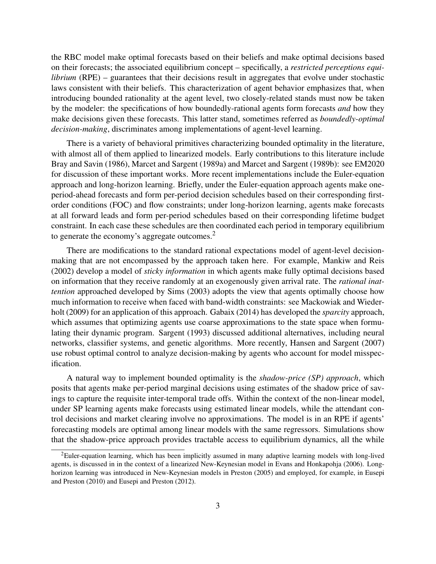the RBC model make optimal forecasts based on their beliefs and make optimal decisions based on their forecasts; the associated equilibrium concept – specifically, a *restricted perceptions equilibrium* (RPE) – guarantees that their decisions result in aggregates that evolve under stochastic laws consistent with their beliefs. This characterization of agent behavior emphasizes that, when introducing bounded rationality at the agent level, two closely-related stands must now be taken by the modeler: the specifications of how boundedly-rational agents form forecasts *and* how they make decisions given these forecasts. This latter stand, sometimes referred as *boundedly-optimal decision-making*, discriminates among implementations of agent-level learning.

There is a variety of behavioral primitives characterizing bounded optimality in the literature, with almost all of them applied to linearized models. Early contributions to this literature include Bray and Savin (1986), Marcet and Sargent (1989a) and Marcet and Sargent (1989b): see EM2020 for discussion of these important works. More recent implementations include the Euler-equation approach and long-horizon learning. Briefly, under the Euler-equation approach agents make oneperiod-ahead forecasts and form per-period decision schedules based on their corresponding firstorder conditions (FOC) and flow constraints; under long-horizon learning, agents make forecasts at all forward leads and form per-period schedules based on their corresponding lifetime budget constraint. In each case these schedules are then coordinated each period in temporary equilibrium to generate the economy's aggregate outcomes.<sup>2</sup>

There are modifications to the standard rational expectations model of agent-level decisionmaking that are not encompassed by the approach taken here. For example, Mankiw and Reis (2002) develop a model of *sticky information* in which agents make fully optimal decisions based on information that they receive randomly at an exogenously given arrival rate. The *rational inattention* approached developed by Sims (2003) adopts the view that agents optimally choose how much information to receive when faced with band-width constraints: see Mackowiak and Wiederholt (2009) for an application of this approach. Gabaix (2014) has developed the *sparcity* approach, which assumes that optimizing agents use coarse approximations to the state space when formulating their dynamic program. Sargent (1993) discussed additional alternatives, including neural networks, classifier systems, and genetic algorithms. More recently, Hansen and Sargent (2007) use robust optimal control to analyze decision-making by agents who account for model misspecification.

A natural way to implement bounded optimality is the *shadow-price (SP) approach*, which posits that agents make per-period marginal decisions using estimates of the shadow price of savings to capture the requisite inter-temporal trade offs. Within the context of the non-linear model, under SP learning agents make forecasts using estimated linear models, while the attendant control decisions and market clearing involve no approximations. The model is in an RPE if agents' forecasting models are optimal among linear models with the same regressors. Simulations show that the shadow-price approach provides tractable access to equilibrium dynamics, all the while

<sup>&</sup>lt;sup>2</sup>Euler-equation learning, which has been implicitly assumed in many adaptive learning models with long-lived agents, is discussed in in the context of a linearized New-Keynesian model in Evans and Honkapohja (2006). Longhorizon learning was introduced in New-Keynesian models in Preston (2005) and employed, for example, in Eusepi and Preston (2010) and Eusepi and Preston (2012).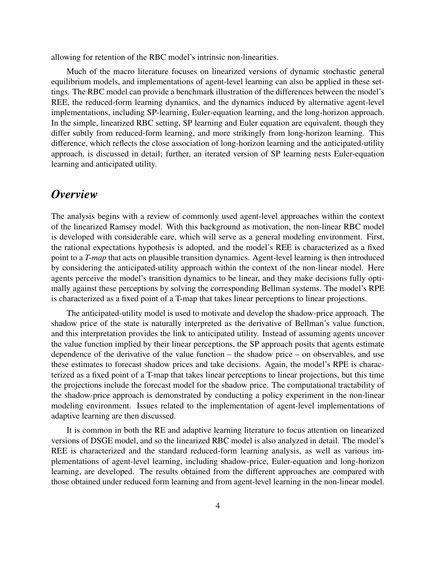allowing for retention of the RBC model's intrinsic non-linearities.

Much of the macro literature focuses on linearized versions of dynamic stochastic general equilibrium models, and implementations of agent-level learning can also be applied in these settings. The RBC model can provide a benchmark illustration of the differences between the model's REE, the reduced-form learning dynamics, and the dynamics induced by alternative agent-level implementations, including SP-learning, Euler-equation learning, and the long-horizon approach. In the simple, linearized RBC setting, SP learning and Euler equation are equivalent, though they differ subtly from reduced-form learning, and more strikingly from long-horizon learning. This difference, which reflects the close association of long-horizon learning and the anticipated-utility approach, is discussed in detail; further, an iterated version of SP learning nests Euler-equation learning and anticipated utility.

## *Overview*

The analysis begins with a review of commonly used agent-level approaches within the context of the linearized Ramsey model. With this background as motivation, the non-linear RBC model is developed with considerable care, which will serve as a general modeling environment. First, the rational expectations hypothesis is adopted, and the model's REE is characterized as a fixed point to a *T-map* that acts on plausible transition dynamics. Agent-level learning is then introduced by considering the anticipated-utility approach within the context of the non-linear model. Here agents perceive the model's transition dynamics to be linear, and they make decisions fully optimally against these perceptions by solving the corresponding Bellman systems. The model's RPE is characterized as a fixed point of a T-map that takes linear perceptions to linear projections.

The anticipated-utility model is used to motivate and develop the shadow-price approach. The shadow price of the state is naturally interpreted as the derivative of Bellman's value function, and this interpretation provides the link to anticipated utility. Instead of assuming agents uncover the value function implied by their linear perceptions, the SP approach posits that agents estimate dependence of the derivative of the value function – the shadow price – on observables, and use these estimates to forecast shadow prices and take decisions. Again, the model's RPE is characterized as a fixed point of a T-map that takes linear perceptions to linear projections, but this time the projections include the forecast model for the shadow price. The computational tractability of the shadow-price approach is demonstrated by conducting a policy experiment in the non-linear modeling environment. Issues related to the implementation of agent-level implementations of adaptive learning are then discussed.

It is common in both the RE and adaptive learning literature to focus attention on linearized versions of DSGE model, and so the linearized RBC model is also analyzed in detail. The model's REE is characterized and the standard reduced-form learning analysis, as well as various implementations of agent-level learning, including shadow-price, Euler-equation and long-horizon learning, are developed. The results obtained from the different approaches are compared with those obtained under reduced form learning and from agent-level learning in the non-linear model.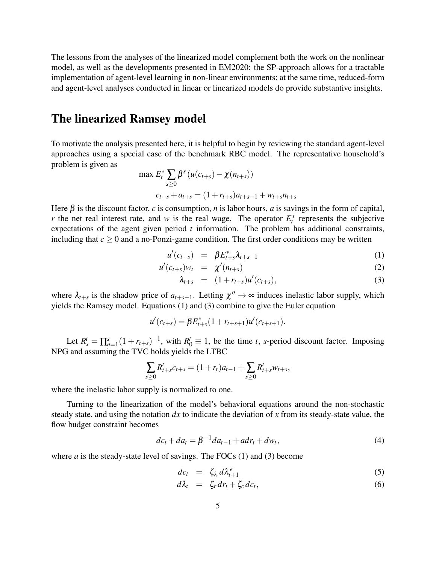The lessons from the analyses of the linearized model complement both the work on the nonlinear model, as well as the developments presented in EM2020: the SP-approach allows for a tractable implementation of agent-level learning in non-linear environments; at the same time, reduced-form and agent-level analyses conducted in linear or linearized models do provide substantive insights.

### The linearized Ramsey model

To motivate the analysis presented here, it is helpful to begin by reviewing the standard agent-level approaches using a special case of the benchmark RBC model. The representative household's problem is given as

$$
\max E_t^* \sum_{s \ge 0} \beta^s (u(c_{t+s}) - \chi(n_{t+s}))
$$
  

$$
c_{t+s} + a_{t+s} = (1 + r_{t+s})a_{t+s-1} + w_{t+s}n_{t+s}
$$

Here  $\beta$  is the discount factor, *c* is consumption, *n* is labor hours, *a* is savings in the form of capital, *r* the net real interest rate, and *w* is the real wage. The operator  $E_t^*$  represents the subjective expectations of the agent given period *t* information. The problem has additional constraints, including that  $c \geq 0$  and a no-Ponzi-game condition. The first order conditions may be written

$$
u'(c_{t+s}) = \beta E_{t+s}^* \lambda_{t+s+1} \tag{1}
$$

$$
u'(c_{t+s})w_t = \chi'(n_{t+s}) \tag{2}
$$

$$
\lambda_{t+s} = (1+r_{t+s})u'(c_{t+s}), \qquad (3)
$$

where  $\lambda_{t+s}$  is the shadow price of  $a_{t+s-1}$ . Letting  $\chi'' \to \infty$  induces inelastic labor supply, which yields the Ramsey model. Equations (1) and (3) combine to give the Euler equation

> $u'(c_{t+s}) = \beta E_{t-s}^*$  $t_{t+s}^*(1+r_{t+s+1})u'(c_{t+s+1}).$

Let  $R_s^t = \prod_{n=1}^s (1 + r_{t+s})^{-1}$ , with  $R_0^t \equiv 1$ , be the time *t*, *s*-period discount factor. Imposing NPG and assuming the TVC holds yields the LTBC

$$
\sum_{s\geq 0} R_{t+s}^t c_{t+s} = (1+r_t)a_{t-1} + \sum_{s\geq 0} R_{t+s}^t w_{t+s},
$$

where the inelastic labor supply is normalized to one.

Turning to the linearization of the model's behavioral equations around the non-stochastic steady state, and using the notation *dx* to indicate the deviation of *x* from its steady-state value, the flow budget constraint becomes

$$
dc_t + da_t = \beta^{-1} da_{t-1} + adr_t + dw_t, \qquad (4)
$$

where  $a$  is the steady-state level of savings. The FOCs  $(1)$  and  $(3)$  become

$$
dc_t = \zeta_{\lambda} d\lambda_{t+1}^e \tag{5}
$$

$$
d\lambda_t = \zeta_r dr_t + \zeta_c dc_t, \qquad (6)
$$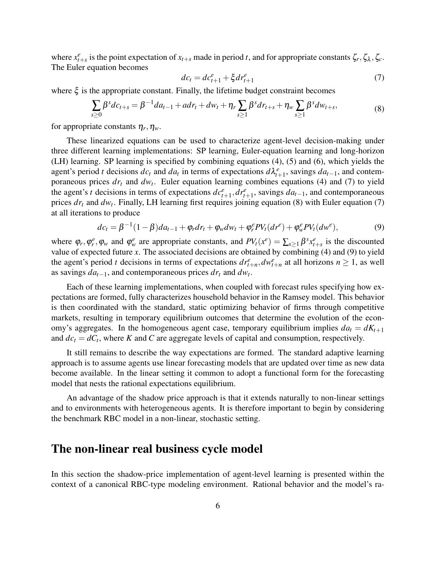where  $x_{t+s}^e$  is the point expectation of  $x_{t+s}$  made in period *t*, and for appropriate constants  $\zeta_r, \zeta_\lambda, \zeta_c$ . The Euler equation becomes

$$
dc_t = dc_{t+1}^e + \xi dr_{t+1}^e \tag{7}
$$

where  $\xi$  is the appropriate constant. Finally, the lifetime budget constraint becomes

$$
\sum_{s\geq 0} \beta^s d c_{t+s} = \beta^{-1} d a_{t-1} + a d r_t + d w_t + \eta_r \sum_{s\geq 1} \beta^s d r_{t+s} + \eta_w \sum_{s\geq 1} \beta^s d w_{t+s},\tag{8}
$$

for appropriate constants  $\eta_r, \eta_w$ .

These linearized equations can be used to characterize agent-level decision-making under three different learning implementations: SP learning, Euler-equation learning and long-horizon (LH) learning. SP learning is specified by combining equations (4), (5) and (6), which yields the agent's period *t* decisions  $dc_t$  and  $da_t$  in terms of expectations  $d\lambda_{t+1}^e$ , savings  $da_{t-1}$ , and contemporaneous prices *dr<sup>t</sup>* and *dw<sup>t</sup>* . Euler equation learning combines equations (4) and (7) to yield the agent's *t* decisions in terms of expectations  $dc_{t+1}^e, dr_{t+1}^e$ , savings  $da_{t-1}$ , and contemporaneous prices *dr<sup>t</sup>* and *dw<sup>t</sup>* . Finally, LH learning first requires joining equation (8) with Euler equation (7) at all iterations to produce

$$
dc_{t} = \beta^{-1}(1-\beta)da_{t-1} + \varphi_{r}dr_{t} + \varphi_{w}dw_{t} + \varphi_{r}^{e}PV_{t}(dr^{e}) + \varphi_{w}^{e}PV_{t}(dw^{e}),
$$
\n(9)

where  $\varphi_r, \varphi_r^e, \varphi_w$  and  $\varphi_w^e$  are appropriate constants, and  $PV_t(x^e) = \sum_{s \ge 1} \beta^s x_{t+s}^e$  is the discounted value of expected future *x*. The associated decisions are obtained by combining (4) and (9) to yield the agent's period *t* decisions in terms of expectations  $dr_{t+n}^e, dw_{t+n}^e$  at all horizons  $n \ge 1$ , as well as savings  $da_{t-1}$ , and contemporaneous prices  $dr_t$  and  $dw_t$ .

Each of these learning implementations, when coupled with forecast rules specifying how expectations are formed, fully characterizes household behavior in the Ramsey model. This behavior is then coordinated with the standard, static optimizing behavior of firms through competitive markets, resulting in temporary equilibrium outcomes that determine the evolution of the economy's aggregates. In the homogeneous agent case, temporary equilibrium implies  $da_t = dK_{t+1}$ and  $dc_t = dC_t$ , where *K* and *C* are aggregate levels of capital and consumption, respectively.

It still remains to describe the way expectations are formed. The standard adaptive learning approach is to assume agents use linear forecasting models that are updated over time as new data become available. In the linear setting it common to adopt a functional form for the forecasting model that nests the rational expectations equilibrium.

An advantage of the shadow price approach is that it extends naturally to non-linear settings and to environments with heterogeneous agents. It is therefore important to begin by considering the benchmark RBC model in a non-linear, stochastic setting.

### The non-linear real business cycle model

In this section the shadow-price implementation of agent-level learning is presented within the context of a canonical RBC-type modeling environment. Rational behavior and the model's ra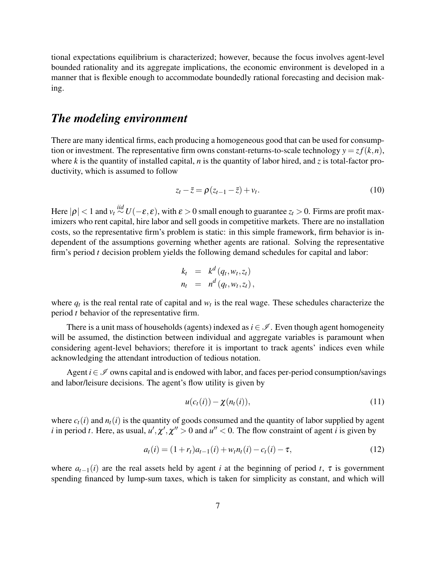tional expectations equilibrium is characterized; however, because the focus involves agent-level bounded rationality and its aggregate implications, the economic environment is developed in a manner that is flexible enough to accommodate boundedly rational forecasting and decision making.

## *The modeling environment*

There are many identical firms, each producing a homogeneous good that can be used for consumption or investment. The representative firm owns constant-returns-to-scale technology  $y = z f(k, n)$ , where  $k$  is the quantity of installed capital,  $n$  is the quantity of labor hired, and  $\zeta$  is total-factor productivity, which is assumed to follow

$$
z_t - \overline{z} = \rho(z_{t-1} - \overline{z}) + v_t. \tag{10}
$$

Here  $|\rho| < 1$  and  $v_t \stackrel{iid}{\sim} U(-\varepsilon, \varepsilon)$ , with  $\varepsilon > 0$  small enough to guarantee  $z_t > 0$ . Firms are profit maximizers who rent capital, hire labor and sell goods in competitive markets. There are no installation costs, so the representative firm's problem is static: in this simple framework, firm behavior is independent of the assumptions governing whether agents are rational. Solving the representative firm's period *t* decision problem yields the following demand schedules for capital and labor:

$$
k_t = k^d (q_t, w_t, z_t)
$$
  

$$
n_t = n^d (q_t, w_t, z_t),
$$

where  $q_t$  is the real rental rate of capital and  $w_t$  is the real wage. These schedules characterize the period *t* behavior of the representative firm.

There is a unit mass of households (agents) indexed as  $i \in \mathcal{I}$ . Even though agent homogeneity will be assumed, the distinction between individual and aggregate variables is paramount when considering agent-level behaviors; therefore it is important to track agents' indices even while acknowledging the attendant introduction of tedious notation.

Agent  $i \in \mathcal{I}$  owns capital and is endowed with labor, and faces per-period consumption/savings and labor/leisure decisions. The agent's flow utility is given by

$$
u(c_t(i)) - \chi(n_t(i)), \qquad (11)
$$

where  $c_t(i)$  and  $n_t(i)$  is the quantity of goods consumed and the quantity of labor supplied by agent *i* in period *t*. Here, as usual,  $u', \chi', \chi'' > 0$  and  $u'' < 0$ . The flow constraint of agent *i* is given by

$$
a_t(i) = (1 + r_t)a_{t-1}(i) + w_t n_t(i) - c_t(i) - \tau,
$$
\n(12)

where  $a_{t-1}(i)$  are the real assets held by agent *i* at the beginning of period *t*,  $\tau$  is government spending financed by lump-sum taxes, which is taken for simplicity as constant, and which will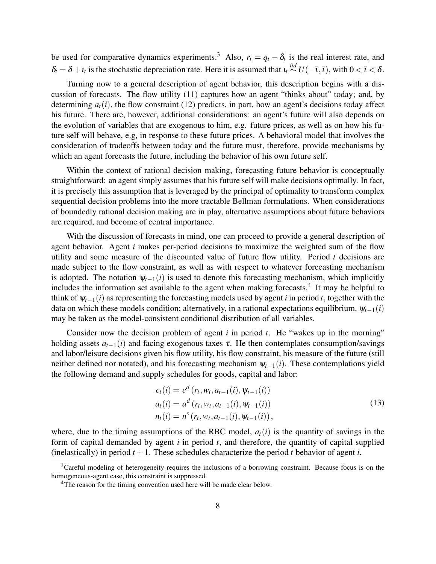be used for comparative dynamics experiments.<sup>3</sup> Also,  $r_t = q_t - \delta_t$  is the real interest rate, and  $\delta_t = \delta + i_t$  is the stochastic depreciation rate. Here it is assumed that  $i_t \stackrel{iid}{\sim} U(-\bar{i}, \bar{i})$ , with  $0 < \bar{i} < \delta$ .

Turning now to a general description of agent behavior, this description begins with a discussion of forecasts. The flow utility (11) captures how an agent "thinks about" today; and, by determining  $a_t(i)$ , the flow constraint (12) predicts, in part, how an agent's decisions today affect his future. There are, however, additional considerations: an agent's future will also depends on the evolution of variables that are exogenous to him, e.g. future prices, as well as on how his future self will behave, e.g, in response to these future prices. A behavioral model that involves the consideration of tradeoffs between today and the future must, therefore, provide mechanisms by which an agent forecasts the future, including the behavior of his own future self.

Within the context of rational decision making, forecasting future behavior is conceptually straightforward: an agent simply assumes that his future self will make decisions optimally. In fact, it is precisely this assumption that is leveraged by the principal of optimality to transform complex sequential decision problems into the more tractable Bellman formulations. When considerations of boundedly rational decision making are in play, alternative assumptions about future behaviors are required, and become of central importance.

With the discussion of forecasts in mind, one can proceed to provide a general description of agent behavior. Agent *i* makes per-period decisions to maximize the weighted sum of the flow utility and some measure of the discounted value of future flow utility. Period *t* decisions are made subject to the flow constraint, as well as with respect to whatever forecasting mechanism is adopted. The notation  $\psi_{t-1}(i)$  is used to denote this forecasting mechanism, which implicitly includes the information set available to the agent when making forecasts.<sup>4</sup> It may be helpful to think of  $\psi_{t-1}(i)$  as representing the forecasting models used by agent *i* in period *t*, together with the data on which these models condition; alternatively, in a rational expectations equilibrium,  $\psi_{t-1}(i)$ may be taken as the model-consistent conditional distribution of all variables.

Consider now the decision problem of agent *i* in period *t*. He "wakes up in the morning" holding assets  $a_{t-1}(i)$  and facing exogenous taxes  $\tau$ . He then contemplates consumption/savings and labor/leisure decisions given his flow utility, his flow constraint, his measure of the future (still neither defined nor notated), and his forecasting mechanism  $\psi_{t-1}(i)$ . These contemplations yield the following demand and supply schedules for goods, capital and labor:

$$
c_t(i) = c^d (r_t, w_t, a_{t-1}(i), \psi_{t-1}(i))
$$
  
\n
$$
a_t(i) = a^d (r_t, w_t, a_{t-1}(i), \psi_{t-1}(i))
$$
  
\n
$$
n_t(i) = n^s (r_t, w_t, a_{t-1}(i), \psi_{t-1}(i)),
$$
\n(13)

where, due to the timing assumptions of the RBC model,  $a_t(i)$  is the quantity of savings in the form of capital demanded by agent *i* in period *t*, and therefore, the quantity of capital supplied (inelastically) in period  $t + 1$ . These schedules characterize the period  $t$  behavior of agent  $i$ .

<sup>&</sup>lt;sup>3</sup>Careful modeling of heterogeneity requires the inclusions of a borrowing constraint. Because focus is on the homogeneous-agent case, this constraint is suppressed.

<sup>&</sup>lt;sup>4</sup>The reason for the timing convention used here will be made clear below.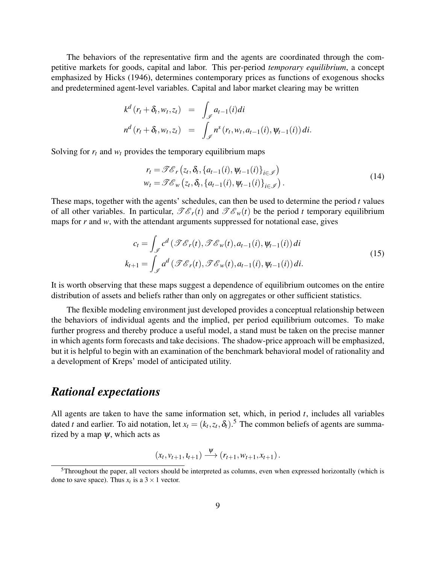The behaviors of the representative firm and the agents are coordinated through the competitive markets for goods, capital and labor. This per-period *temporary equilibrium*, a concept emphasized by Hicks (1946), determines contemporary prices as functions of exogenous shocks and predetermined agent-level variables. Capital and labor market clearing may be written

$$
k^{d}(r_{t}+\delta_{t},w_{t},z_{t}) = \int_{\mathscr{I}} a_{t-1}(i)di
$$
  

$$
n^{d}(r_{t}+\delta_{t},w_{t},z_{t}) = \int_{\mathscr{I}} n^{s}(r_{t},w_{t},a_{t-1}(i),\Psi_{t-1}(i))di.
$$

Solving for  $r_t$  and  $w_t$  provides the temporary equilibrium maps

$$
r_{t} = \mathscr{F}\mathscr{E}_{r} \left(z_{t}, \delta_{t}, \{a_{t-1}(i), \psi_{t-1}(i)\}_{i \in \mathscr{I}}\right)
$$
  
\n
$$
w_{t} = \mathscr{F}\mathscr{E}_{w} \left(z_{t}, \delta_{t}, \{a_{t-1}(i), \psi_{t-1}(i)\}_{i \in \mathscr{I}}\right).
$$
\n(14)

These maps, together with the agents' schedules, can then be used to determine the period *t* values of all other variables. In particular,  $\mathscr{TE}_r(t)$  and  $\mathscr{TE}_w(t)$  be the period *t* temporary equilibrium maps for *r* and *w*, with the attendant arguments suppressed for notational ease, gives

$$
c_t = \int_{\mathscr{I}} c^d \left( \mathscr{TE}_r(t), \mathscr{TE}_w(t), a_{t-1}(i), \psi_{t-1}(i) \right) di
$$
  
\n
$$
k_{t+1} = \int_{\mathscr{I}} a^d \left( \mathscr{TE}_r(t), \mathscr{TE}_w(t), a_{t-1}(i), \psi_{t-1}(i) \right) di.
$$
\n(15)

It is worth observing that these maps suggest a dependence of equilibrium outcomes on the entire distribution of assets and beliefs rather than only on aggregates or other sufficient statistics.

The flexible modeling environment just developed provides a conceptual relationship between the behaviors of individual agents and the implied, per period equilibrium outcomes. To make further progress and thereby produce a useful model, a stand must be taken on the precise manner in which agents form forecasts and take decisions. The shadow-price approach will be emphasized, but it is helpful to begin with an examination of the benchmark behavioral model of rationality and a development of Kreps' model of anticipated utility.

### *Rational expectations*

All agents are taken to have the same information set, which, in period *t*, includes all variables dated *t* and earlier. To aid notation, let  $x_t = (k_t, z_t, \delta_t)$ .<sup>5</sup> The common beliefs of agents are summarized by a map  $\psi$ , which acts as

$$
(x_t,v_{t+1},t_{t+1}) \xrightarrow{\Psi} (r_{t+1},w_{t+1},x_{t+1}).
$$

<sup>5</sup>Throughout the paper, all vectors should be interpreted as columns, even when expressed horizontally (which is done to save space). Thus  $x_t$  is a  $3 \times 1$  vector.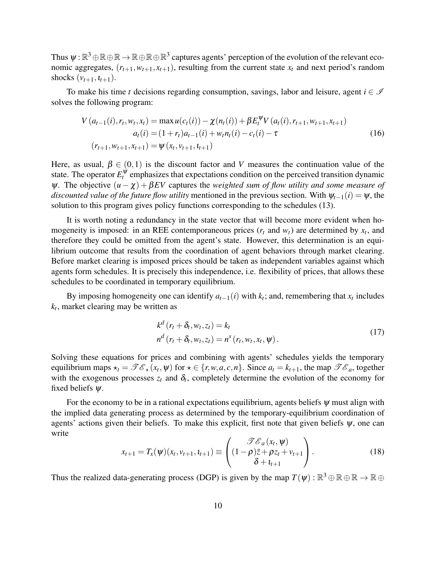Thus  $\psi:\R^3\oplus\R\oplus\R\to\R\oplus\R^3$  captures agents' perception of the evolution of the relevant economic aggregates,  $(r_{t+1}, w_{t+1}, x_{t+1})$ , resulting from the current state  $x_t$  and next period's random shocks  $(v_{t+1}, l_{t+1})$ .

To make his time *t* decisions regarding consumption, savings, labor and leisure, agent  $i \in \mathcal{I}$ solves the following program:

$$
V(a_{t-1}(i), r_t, w_t, x_t) = \max u(c_t(i)) - \chi(n_t(i)) + \beta E_t^{\Psi} V(a_t(i), r_{t+1}, w_{t+1}, x_{t+1})
$$
  
\n
$$
a_t(i) = (1 + r_t)a_{t-1}(i) + w_t n_t(i) - c_t(i) - \tau
$$
  
\n
$$
(r_{t+1}, w_{t+1}, x_{t+1}) = \Psi(x_t, v_{t+1}, t_{t+1})
$$
\n(16)

Here, as usual,  $\beta \in (0,1)$  is the discount factor and *V* measures the continuation value of the state. The operator  $E_t^{\psi}$  emphasizes that expectations condition on the perceived transition dynamic  $\psi$ . The objective  $(u - \chi) + \beta EV$  captures the *weighted sum of flow utility and some measure of discounted value of the future flow utility* mentioned in the previous section. With  $\psi_{t-1}(i) = \psi$ , the solution to this program gives policy functions corresponding to the schedules (13).

It is worth noting a redundancy in the state vector that will become more evident when homogeneity is imposed: in an REE contemporaneous prices  $(r_t$  and  $w_t$ ) are determined by  $x_t$ , and therefore they could be omitted from the agent's state. However, this determination is an equilibrium outcome that results from the coordination of agent behaviors through market clearing. Before market clearing is imposed prices should be taken as independent variables against which agents form schedules. It is precisely this independence, i.e. flexibility of prices, that allows these schedules to be coordinated in temporary equilibrium.

By imposing homogeneity one can identify  $a_{t-1}(i)$  with  $k_t$ ; and, remembering that  $x_t$  includes *kt* , market clearing may be written as

$$
k^{d} (r_{t} + \delta_{t}, w_{t}, z_{t}) = k_{t}
$$
  
\n
$$
n^{d} (r_{t} + \delta_{t}, w_{t}, z_{t}) = n^{s} (r_{t}, w_{t}, x_{t}, \psi).
$$
\n
$$
(17)
$$

Solving these equations for prices and combining with agents' schedules yields the temporary equilibrium maps  $\star_t = \mathscr{Te}_\star(x_t, \psi)$  for  $\star \in \{r, w, a, c, n\}$ . Since  $a_t = k_{t+1}$ , the map  $\mathscr{Te}_a$ , together with the exogenous processes  $z_t$  and  $\delta_t$ , completely determine the evolution of the economy for fixed beliefs  $\psi$ .

For the economy to be in a rational expectations equilibrium, agents beliefs  $\psi$  must align with the implied data generating process as determined by the temporary-equilibrium coordination of agents' actions given their beliefs. To make this explicit, first note that given beliefs  $\psi$ , one can write

$$
x_{t+1} = T_x(\psi)(x_t, v_{t+1}, t_{t+1}) \equiv \begin{pmatrix} \mathcal{F}\mathcal{E}_a(x_t, \psi) \\ (1 - \rho)\bar{z} + \rho z_t + v_{t+1} \\ \delta + t_{t+1} \end{pmatrix}.
$$
 (18)

Thus the realized data-generating process (DGP) is given by the map  $T(\psi) : \mathbb{R}^3 \oplus \mathbb{R} \oplus \mathbb{R} \to \mathbb{R} \oplus$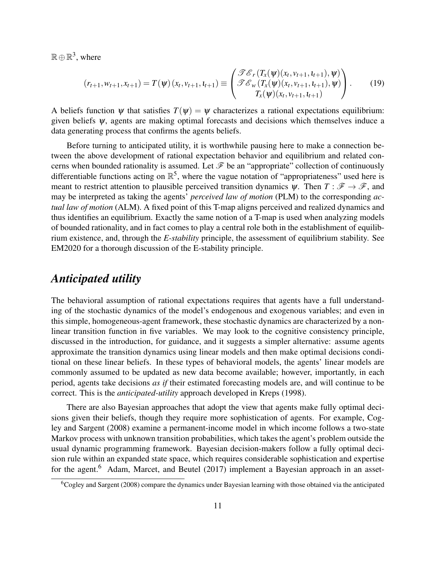$\mathbb{R} \oplus \mathbb{R}^3$ , where

$$
(r_{t+1}, w_{t+1}, x_{t+1}) = T(\psi)(x_t, v_{t+1}, t_{t+1}) \equiv \begin{pmatrix} \mathcal{I} \mathcal{E}_r(T_x(\psi)(x_t, v_{t+1}, t_{t+1}), \psi) \\ \mathcal{I} \mathcal{E}_w(T_x(\psi)(x_t, v_{t+1}, t_{t+1}), \psi) \\ T_x(\psi)(x_t, v_{t+1}, t_{t+1}) \end{pmatrix}.
$$
 (19)

A beliefs function  $\psi$  that satisfies  $T(\psi) = \psi$  characterizes a rational expectations equilibrium: given beliefs  $\psi$ , agents are making optimal forecasts and decisions which themselves induce a data generating process that confirms the agents beliefs.

Before turning to anticipated utility, it is worthwhile pausing here to make a connection between the above development of rational expectation behavior and equilibrium and related concerns when bounded rationality is assumed. Let  $\mathcal F$  be an "appropriate" collection of continuously differentiable functions acting on  $\mathbb{R}^5$ , where the vague notation of "appropriateness" used here is meant to restrict attention to plausible perceived transition dynamics  $\psi$ . Then  $T : \mathscr{F} \to \mathscr{F}$ , and may be interpreted as taking the agents' *perceived law of motion* (PLM) to the corresponding *actual law of motion* (ALM). A fixed point of this T-map aligns perceived and realized dynamics and thus identifies an equilibrium. Exactly the same notion of a T-map is used when analyzing models of bounded rationality, and in fact comes to play a central role both in the establishment of equilibrium existence, and, through the *E-stability* principle, the assessment of equilibrium stability. See EM2020 for a thorough discussion of the E-stability principle.

## *Anticipated utility*

The behavioral assumption of rational expectations requires that agents have a full understanding of the stochastic dynamics of the model's endogenous and exogenous variables; and even in this simple, homogeneous-agent framework, these stochastic dynamics are characterized by a nonlinear transition function in five variables. We may look to the cognitive consistency principle, discussed in the introduction, for guidance, and it suggests a simpler alternative: assume agents approximate the transition dynamics using linear models and then make optimal decisions conditional on these linear beliefs. In these types of behavioral models, the agents' linear models are commonly assumed to be updated as new data become available; however, importantly, in each period, agents take decisions *as if* their estimated forecasting models are, and will continue to be correct. This is the *anticipated-utility* approach developed in Kreps (1998).

There are also Bayesian approaches that adopt the view that agents make fully optimal decisions given their beliefs, though they require more sophistication of agents. For example, Cogley and Sargent (2008) examine a permanent-income model in which income follows a two-state Markov process with unknown transition probabilities, which takes the agent's problem outside the usual dynamic programming framework. Bayesian decision-makers follow a fully optimal decision rule within an expanded state space, which requires considerable sophistication and expertise for the agent.<sup>6</sup> Adam, Marcet, and Beutel (2017) implement a Bayesian approach in an asset-

<sup>6</sup>Cogley and Sargent (2008) compare the dynamics under Bayesian learning with those obtained via the anticipated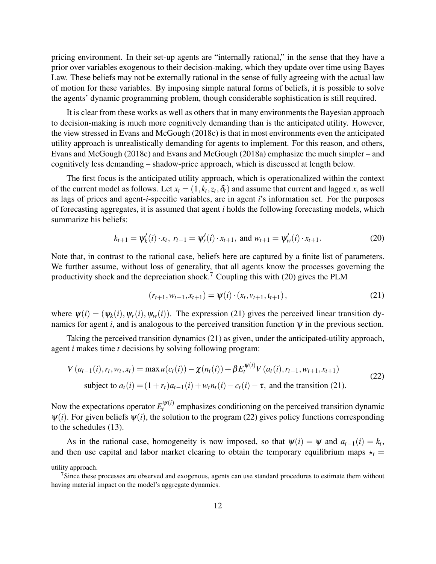pricing environment. In their set-up agents are "internally rational," in the sense that they have a prior over variables exogenous to their decision-making, which they update over time using Bayes Law. These beliefs may not be externally rational in the sense of fully agreeing with the actual law of motion for these variables. By imposing simple natural forms of beliefs, it is possible to solve the agents' dynamic programming problem, though considerable sophistication is still required.

It is clear from these works as well as others that in many environments the Bayesian approach to decision-making is much more cognitively demanding than is the anticipated utility. However, the view stressed in Evans and McGough (2018c) is that in most environments even the anticipated utility approach is unrealistically demanding for agents to implement. For this reason, and others, Evans and McGough (2018c) and Evans and McGough (2018a) emphasize the much simpler – and cognitively less demanding – shadow-price approach, which is discussed at length below.

The first focus is the anticipated utility approach, which is operationalized within the context of the current model as follows. Let  $x_t = (1, k_t, z_t, \delta_t)$  and assume that current and lagged *x*, as well as lags of prices and agent-*i*-specific variables, are in agent *i*'s information set. For the purposes of forecasting aggregates, it is assumed that agent *i* holds the following forecasting models, which summarize his beliefs:

$$
k_{t+1} = \psi'_k(i) \cdot x_t, \ r_{t+1} = \psi'_r(i) \cdot x_{t+1}, \text{ and } w_{t+1} = \psi'_w(i) \cdot x_{t+1}. \tag{20}
$$

Note that, in contrast to the rational case, beliefs here are captured by a finite list of parameters. We further assume, without loss of generality, that all agents know the processes governing the productivity shock and the depreciation shock.<sup>7</sup> Coupling this with (20) gives the PLM

$$
(r_{t+1}, w_{t+1}, x_{t+1}) = \psi(i) \cdot (x_t, v_{t+1}, t_{t+1}), \qquad (21)
$$

where  $\psi(i) = (\psi_k(i), \psi_r(i), \psi_w(i))$ . The expression (21) gives the perceived linear transition dynamics for agent *i*, and is analogous to the perceived transition function  $\psi$  in the previous section.

Taking the perceived transition dynamics (21) as given, under the anticipated-utility approach, agent *i* makes time *t* decisions by solving following program:

$$
V(a_{t-1}(i), r_t, w_t, x_t) = \max u(c_t(i)) - \chi(n_t(i)) + \beta E_t^{\psi(i)} V(a_t(i), r_{t+1}, w_{t+1}, x_{t+1})
$$
  
subject to  $a_t(i) = (1 + r_t)a_{t-1}(i) + w_t n_t(i) - c_t(i) - \tau$ , and the transition (21). (22)

Now the expectations operator  $E_t^{\psi(i)}$  $t_t^{\psi(t)}$  emphasizes conditioning on the perceived transition dynamic  $\psi(i)$ . For given beliefs  $\psi(i)$ , the solution to the program (22) gives policy functions corresponding to the schedules (13).

As in the rational case, homogeneity is now imposed, so that  $\psi(i) = \psi$  and  $a_{t-1}(i) = k_t$ , and then use capital and labor market clearing to obtain the temporary equilibrium maps  $\star_t$ 

utility approach.

<sup>&</sup>lt;sup>7</sup>Since these processes are observed and exogenous, agents can use standard procedures to estimate them without having material impact on the model's aggregate dynamics.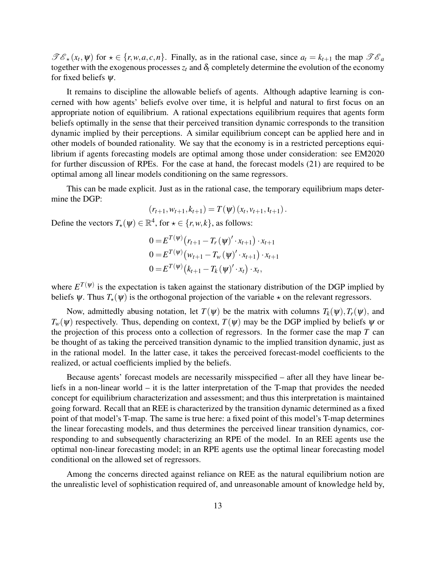$\mathscr{TE}_{\star}(x_t, \psi)$  for  $\star \in \{r, w, a, c, n\}$ . Finally, as in the rational case, since  $a_t = k_{t+1}$  the map  $\mathscr{TE}_{a}$ together with the exogenous processes  $z_t$  and  $\delta_t$  completely determine the evolution of the economy for fixed beliefs  $\psi$ .

It remains to discipline the allowable beliefs of agents. Although adaptive learning is concerned with how agents' beliefs evolve over time, it is helpful and natural to first focus on an appropriate notion of equilibrium. A rational expectations equilibrium requires that agents form beliefs optimally in the sense that their perceived transition dynamic corresponds to the transition dynamic implied by their perceptions. A similar equilibrium concept can be applied here and in other models of bounded rationality. We say that the economy is in a restricted perceptions equilibrium if agents forecasting models are optimal among those under consideration: see EM2020 for further discussion of RPEs. For the case at hand, the forecast models (21) are required to be optimal among all linear models conditioning on the same regressors.

This can be made explicit. Just as in the rational case, the temporary equilibrium maps determine the DGP:

$$
(r_{t+1}, w_{t+1}, k_{t+1}) = T(\psi)(x_t, v_{t+1}, t_{t+1}).
$$

Define the vectors  $T_\star(\psi) \in \mathbb{R}^4$ , for  $\star \in \{r, w, k\}$ , as follows:

$$
0 = E^{T(\psi)}(r_{t+1} - T_r(\psi)' \cdot x_{t+1}) \cdot x_{t+1}
$$
  
\n
$$
0 = E^{T(\psi)}(w_{t+1} - T_w(\psi)' \cdot x_{t+1}) \cdot x_{t+1}
$$
  
\n
$$
0 = E^{T(\psi)}(k_{t+1} - T_k(\psi)' \cdot x_t) \cdot x_t,
$$

where  $E^{T(\psi)}$  is the expectation is taken against the stationary distribution of the DGP implied by beliefs  $\psi$ . Thus  $T_{\star}(\psi)$  is the orthogonal projection of the variable  $\star$  on the relevant regressors.

Now, admittedly abusing notation, let  $T(\psi)$  be the matrix with columns  $T_k(\psi)$ ,  $T_r(\psi)$ , and  $T_w(\psi)$  respectively. Thus, depending on context,  $T(\psi)$  may be the DGP implied by beliefs  $\psi$  or the projection of this process onto a collection of regressors. In the former case the map *T* can be thought of as taking the perceived transition dynamic to the implied transition dynamic, just as in the rational model. In the latter case, it takes the perceived forecast-model coefficients to the realized, or actual coefficients implied by the beliefs.

Because agents' forecast models are necessarily misspecified – after all they have linear beliefs in a non-linear world – it is the latter interpretation of the T-map that provides the needed concept for equilibrium characterization and assessment; and thus this interpretation is maintained going forward. Recall that an REE is characterized by the transition dynamic determined as a fixed point of that model's T-map. The same is true here: a fixed point of this model's T-map determines the linear forecasting models, and thus determines the perceived linear transition dynamics, corresponding to and subsequently characterizing an RPE of the model. In an REE agents use the optimal non-linear forecasting model; in an RPE agents use the optimal linear forecasting model conditional on the allowed set of regressors.

Among the concerns directed against reliance on REE as the natural equilibrium notion are the unrealistic level of sophistication required of, and unreasonable amount of knowledge held by,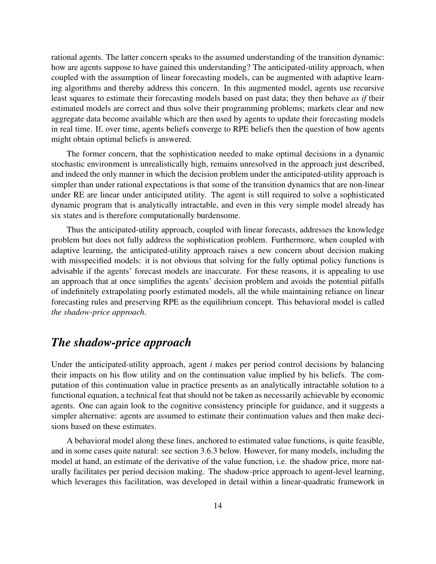rational agents. The latter concern speaks to the assumed understanding of the transition dynamic: how are agents suppose to have gained this understanding? The anticipated-utility approach, when coupled with the assumption of linear forecasting models, can be augmented with adaptive learning algorithms and thereby address this concern. In this augmented model, agents use recursive least squares to estimate their forecasting models based on past data; they then behave *as if* their estimated models are correct and thus solve their programming problems; markets clear and new aggregate data become available which are then used by agents to update their forecasting models in real time. If, over time, agents beliefs converge to RPE beliefs then the question of how agents might obtain optimal beliefs is answered.

The former concern, that the sophistication needed to make optimal decisions in a dynamic stochastic environment is unrealistically high, remains unresolved in the approach just described, and indeed the only manner in which the decision problem under the anticipated-utility approach is simpler than under rational expectations is that some of the transition dynamics that are non-linear under RE are linear under anticipated utility. The agent is still required to solve a sophisticated dynamic program that is analytically intractable, and even in this very simple model already has six states and is therefore computationally burdensome.

Thus the anticipated-utility approach, coupled with linear forecasts, addresses the knowledge problem but does not fully address the sophistication problem. Furthermore, when coupled with adaptive learning, the anticipated-utility approach raises a new concern about decision making with misspecified models: it is not obvious that solving for the fully optimal policy functions is advisable if the agents' forecast models are inaccurate. For these reasons, it is appealing to use an approach that at once simplifies the agents' decision problem and avoids the potential pitfalls of indefinitely extrapolating poorly estimated models, all the while maintaining reliance on linear forecasting rules and preserving RPE as the equilibrium concept. This behavioral model is called *the shadow-price approach*.

## *The shadow-price approach*

Under the anticipated-utility approach, agent *i* makes per period control decisions by balancing their impacts on his flow utility and on the continuation value implied by his beliefs. The computation of this continuation value in practice presents as an analytically intractable solution to a functional equation, a technical feat that should not be taken as necessarily achievable by economic agents. One can again look to the cognitive consistency principle for guidance, and it suggests a simpler alternative: agents are assumed to estimate their continuation values and then make decisions based on these estimates.

A behavioral model along these lines, anchored to estimated value functions, is quite feasible, and in some cases quite natural: see section 3.6.3 below. However, for many models, including the model at hand, an estimate of the derivative of the value function, i.e. the shadow price, more naturally facilitates per period decision making. The shadow-price approach to agent-level learning, which leverages this facilitation, was developed in detail within a linear-quadratic framework in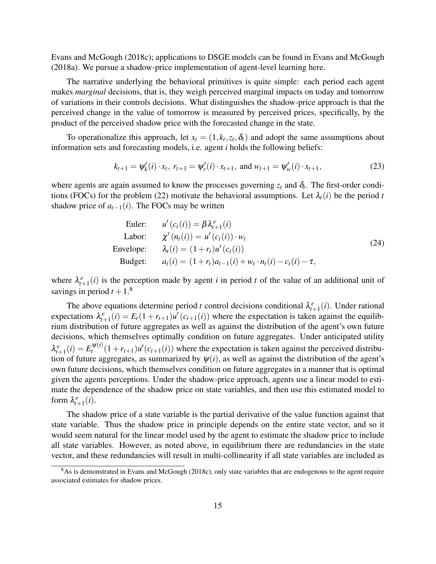Evans and McGough (2018c); applications to DSGE models can be found in Evans and McGough (2018a). We pursue a shadow-price implementation of agent-level learning here.

The narrative underlying the behavioral primitives is quite simple: each period each agent makes *marginal* decisions, that is, they weigh perceived marginal impacts on today and tomorrow of variations in their controls decisions. What distinguishes the shadow-price approach is that the perceived change in the value of tomorrow is measured by perceived prices, specifically, by the product of the perceived shadow price with the forecasted change in the state.

To operationalize this approach, let  $x_t = (1, k_t, z_t, \delta_t)$  and adopt the same assumptions about information sets and forecasting models, i.e. agent *i* holds the following beliefs:

$$
k_{t+1} = \psi'_k(i) \cdot x_t, \ r_{t+1} = \psi'_r(i) \cdot x_{t+1}, \text{ and } w_{t+1} = \psi'_w(i) \cdot x_{t+1}, \tag{23}
$$

where agents are again assumed to know the processes governing  $z_t$  and  $\delta_t$ . The first-order conditions (FOCs) for the problem (22) motivate the behavioral assumptions. Let  $\lambda_t(i)$  be the period *t* shadow price of  $a_{t-1}(i)$ . The FOCs may be written

Euler: 
$$
u'(c_t(i)) = \beta \lambda_{t+1}^e(i)
$$
  
\nLabor: 
$$
\chi'(n_t(i)) = u'(c_t(i)) \cdot w_t
$$
  
\nEnvelope: 
$$
\lambda_t(i) = (1 + r_t)u'(c_t(i))
$$
  
\nBudget: 
$$
a_t(i) = (1 + r_t)a_{t-1}(i) + w_t \cdot n_t(i) - c_t(i) - \tau,
$$
 (24)

where  $\lambda_{t+1}^e(i)$  is the perception made by agent *i* in period *t* of the value of an additional unit of savings in period  $t + 1$ .<sup>8</sup>

The above equations determine period *t* control decisions conditional  $\lambda_{t+1}^e(i)$ . Under rational expectations  $\lambda_{t+1}^e(i) = E_t(1 + r_{t+1})u'(c_{t+1}(i))$  where the expectation is taken against the equilibrium distribution of future aggregates as well as against the distribution of the agent's own future decisions, which themselves optimally condition on future aggregates. Under anticipated utility  $\lambda_{t+1}^e(i) = E_t^{\psi(i)}$  $t^{W(i)}(1+r_{t+1})u'(c_{t+1}(i))$  where the expectation is taken against the perceived distribution of future aggregates, as summarized by  $\psi(i)$ , as well as against the distribution of the agent's own future decisions, which themselves condition on future aggregates in a manner that is optimal given the agents perceptions. Under the shadow-price approach, agents use a linear model to estimate the dependence of the shadow price on state variables, and then use this estimated model to form  $\lambda_{t+1}^e(i)$ .

The shadow price of a state variable is the partial derivative of the value function against that state variable. Thus the shadow price in principle depends on the entire state vector, and so it would seem natural for the linear model used by the agent to estimate the shadow price to include all state variables. However, as noted above, in equilibrium there are redundancies in the state vector, and these redundancies will result in multi-collinearity if all state variables are included as

<sup>&</sup>lt;sup>8</sup>As is demonstrated in Evans and McGough (2018c), only state variables that are endogenous to the agent require associated estimates for shadow prices.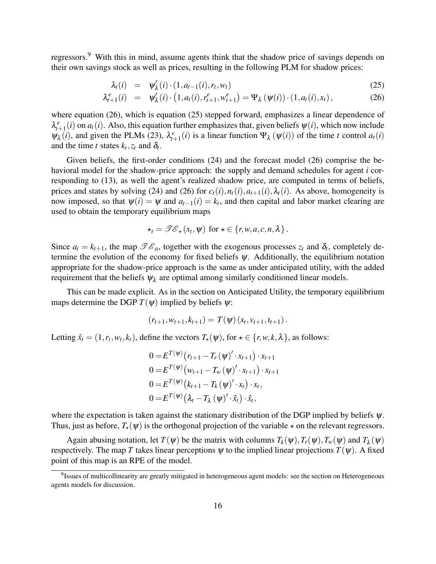regressors.<sup>9</sup> With this in mind, assume agents think that the shadow price of savings depends on their own savings stock as well as prices, resulting in the following PLM for shadow prices:

$$
\lambda_t(i) = \psi'_{\lambda}(i) \cdot (1, a_{t-1}(i), r_t, w_t) \tag{25}
$$

$$
\lambda_{t+1}^e(i) = \psi_{\lambda}'(i) \cdot \left(1, a_t(i), r_{t+1}^e, w_{t+1}^e\right) = \Psi_{\lambda}\left(\psi(i)\right) \cdot \left(1, a_t(i), x_t\right),\tag{26}
$$

where equation (26), which is equation (25) stepped forward, emphasizes a linear dependence of  $\lambda_{t+1}^e(i)$  on  $a_t(i)$ . Also, this equation further emphasizes that, given beliefs  $\psi(i)$ , which now include  $\Psi_{\lambda}(i)$ , and given the PLMs (23),  $\lambda_{t+1}^{e}(i)$  is a linear function  $\Psi_{\lambda}(\Psi(i))$  of the time *t* control  $a_t(i)$ and the time *t* states  $k_t$ ,  $z_t$  and  $\delta_t$ .

Given beliefs, the first-order conditions (24) and the forecast model (26) comprise the behavioral model for the shadow-price approach: the supply and demand schedules for agent *i* corresponding to (13), as well the agent's realized shadow price, are computed in terms of beliefs, prices and states by solving (24) and (26) for  $c_t(i)$ ,  $n_t(i)$ ,  $a_{t+1}(i)$ ,  $\lambda_t(i)$ . As above, homogeneity is now imposed, so that  $\psi(i) = \psi$  and  $a_{t-1}(i) = k_t$ , and then capital and labor market clearing are used to obtain the temporary equilibrium maps

$$
\star_t = \mathscr{TC}_\star(x_t, \psi) \text{ for } \star \in \{r, w, a, c, n, \lambda\}.
$$

Since  $a_t = k_{t+1}$ , the map  $\mathscr{TE}_a$ , together with the exogenous processes  $z_t$  and  $\delta_t$ , completely determine the evolution of the economy for fixed beliefs  $\psi$ . Additionally, the equilibrium notation appropriate for the shadow-price approach is the same as under anticipated utility, with the added requirement that the beliefs  $\psi_{\lambda}$  are optimal among similarly conditioned linear models.

This can be made explicit. As in the section on Anticipated Utility, the temporary equilibrium maps determine the DGP  $T(\psi)$  implied by beliefs  $\psi$ :

$$
(r_{t+1}, w_{t+1}, k_{t+1}) = T(\psi)(x_t, v_{t+1}, t_{t+1}).
$$

Letting  $\hat{x}_t = (1, r_t, w_t, k_t)$ , define the vectors  $T_\star(\psi)$ , for  $\star \in \{r, w, k, \lambda\}$ , as follows:

$$
0 = E^{T(\psi)}(r_{t+1} - T_r(\psi)' \cdot x_{t+1}) \cdot x_{t+1}
$$
  
\n
$$
0 = E^{T(\psi)}(w_{t+1} - T_w(\psi)' \cdot x_{t+1}) \cdot x_{t+1}
$$
  
\n
$$
0 = E^{T(\psi)}(k_{t+1} - T_k(\psi)' \cdot x_t) \cdot x_t,
$$
  
\n
$$
0 = E^{T(\psi)}(\lambda_t - T_\lambda(\psi)' \cdot \hat{x}_t) \cdot \hat{x}_t,
$$

where the expectation is taken against the stationary distribution of the DGP implied by beliefs  $\psi$ . Thus, just as before,  $T_{\star}(\psi)$  is the orthogonal projection of the variable  $\star$  on the relevant regressors.

Again abusing notation, let  $T(\psi)$  be the matrix with columns  $T_k(\psi)$ ,  $T_r(\psi)$ ,  $T_w(\psi)$  and  $T_\lambda(\psi)$ respectively. The map *T* takes linear perceptions  $\psi$  to the implied linear projections  $T(\psi)$ . A fixed point of this map is an RPE of the model.

<sup>&</sup>lt;sup>9</sup>Issues of multicollinearity are greatly mitigated in heterogeneous agent models: see the section on Heterogeneous agents models for discussion.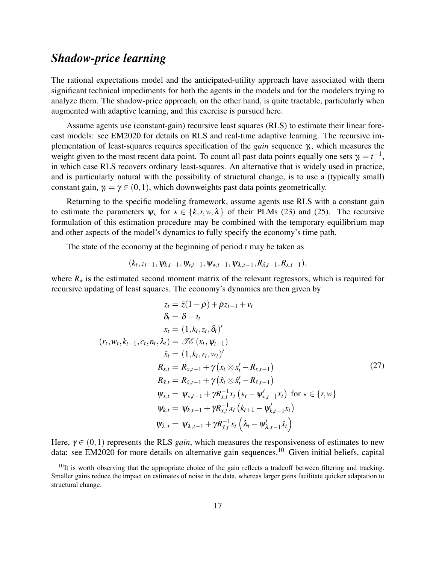# *Shadow-price learning*

The rational expectations model and the anticipated-utility approach have associated with them significant technical impediments for both the agents in the models and for the modelers trying to analyze them. The shadow-price approach, on the other hand, is quite tractable, particularly when augmented with adaptive learning, and this exercise is pursued here.

Assume agents use (constant-gain) recursive least squares (RLS) to estimate their linear forecast models: see EM2020 for details on RLS and real-time adaptive learning. The recursive implementation of least-squares requires specification of the *gain* sequence γ*<sup>t</sup>* , which measures the weight given to the most recent data point. To count all past data points equally one sets  $\gamma_t = t^{-1}$ , in which case RLS recovers ordinary least-squares. An alternative that is widely used in practice, and is particularly natural with the possibility of structural change, is to use a (typically small) constant gain,  $\gamma_t = \gamma \in (0,1)$ , which downweights past data points geometrically.

Returning to the specific modeling framework, assume agents use RLS with a constant gain to estimate the parameters  $\psi_*$  for  $\star \in \{k,r,w,\lambda\}$  of their PLMs (23) and (25). The recursive formulation of this estimation procedure may be combined with the temporary equilibrium map and other aspects of the model's dynamics to fully specify the economy's time path.

The state of the economy at the beginning of period *t* may be taken as

$$
(k_t, z_{t-1}, \psi_{k,t-1}, \psi_{r,t-1}, \psi_{w,t-1}, \psi_{\lambda,t-1}, R_{\hat{x},t-1}, R_{x,t-1}),
$$

where  $R_{\star}$  is the estimated second moment matrix of the relevant regressors, which is required for recursive updating of least squares. The economy's dynamics are then given by

$$
z_{t} = \bar{z}(1 - \rho) + \rho z_{t-1} + v_{t}
$$
\n
$$
\delta_{t} = \delta + t_{t}
$$
\n
$$
x_{t} = (1, k_{t}, z_{t}, \delta_{t})'
$$
\n
$$
(r_{t}, w_{t}, k_{t+1}, c_{t}, n_{t}, \lambda_{t}) = \mathcal{IC}(x_{t}, \psi_{t-1})
$$
\n
$$
\hat{x}_{t} = (1, k_{t}, r_{t}, w_{t})'
$$
\n
$$
R_{x,t} = R_{x,t-1} + \gamma (x_{t} \otimes x_{t}' - R_{x,t-1})
$$
\n
$$
R_{\hat{x},t} = R_{\hat{x},t-1} + \gamma (\hat{x}_{t} \otimes \hat{x}_{t}' - R_{\hat{x},t-1})
$$
\n
$$
\psi_{x,t} = \psi_{x,t-1} + \gamma R_{x,t}^{-1} x_{t} (\star_{t} - \psi_{x,t-1}' x_{t}) \text{ for } x \in \{r, w\}
$$
\n
$$
\psi_{k,t} = \psi_{k,t-1} + \gamma R_{x,t}^{-1} x_{t} (k_{t+1} - \psi_{k,t-1}' x_{t})
$$
\n
$$
\psi_{k,t} = \psi_{k,t-1} + \gamma R_{\hat{x},t}^{-1} x_{t} (\lambda_{t} - \psi_{\lambda,t-1}' \hat{x}_{t})
$$

Here,  $\gamma \in (0,1)$  represents the RLS *gain*, which measures the responsiveness of estimates to new data: see EM2020 for more details on alternative gain sequences.<sup>10</sup> Given initial beliefs, capital

 $10$ It is worth observing that the appropriate choice of the gain reflects a tradeoff between filtering and tracking. Smaller gains reduce the impact on estimates of noise in the data, whereas larger gains facilitate quicker adaptation to structural change.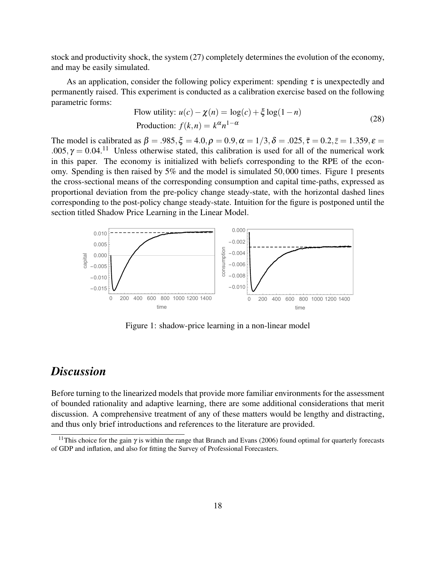stock and productivity shock, the system (27) completely determines the evolution of the economy, and may be easily simulated.

As an application, consider the following policy experiment: spending  $\tau$  is unexpectedly and permanently raised. This experiment is conducted as a calibration exercise based on the following parametric forms:

Flow utility: 
$$
u(c) - \chi(n) = \log(c) + \xi \log(1 - n)
$$
  
Production:  $f(k, n) = k^{\alpha} n^{1-\alpha}$  (28)

The model is calibrated as  $\beta = .985, \xi = 4.0, \rho = 0.9, \alpha = 1/3, \delta = .025, \bar{\tau} = 0.2, \bar{z} = 1.359, \epsilon = 0.025$ .005,  $\gamma = 0.04$ .<sup>11</sup> Unless otherwise stated, this calibration is used for all of the numerical work in this paper. The economy is initialized with beliefs corresponding to the RPE of the economy. Spending is then raised by 5% and the model is simulated 50,000 times. Figure 1 presents the cross-sectional means of the corresponding consumption and capital time-paths, expressed as proportional deviation from the pre-policy change steady-state, with the horizontal dashed lines corresponding to the post-policy change steady-state. Intuition for the figure is postponed until the section titled Shadow Price Learning in the Linear Model.



Figure 1: shadow-price learning in a non-linear model

## *Discussion*

Before turning to the linearized models that provide more familiar environments for the assessment of bounded rationality and adaptive learning, there are some additional considerations that merit discussion. A comprehensive treatment of any of these matters would be lengthy and distracting, and thus only brief introductions and references to the literature are provided.

<sup>&</sup>lt;sup>11</sup>This choice for the gain  $\gamma$  is within the range that Branch and Evans (2006) found optimal for quarterly forecasts of GDP and inflation, and also for fitting the Survey of Professional Forecasters.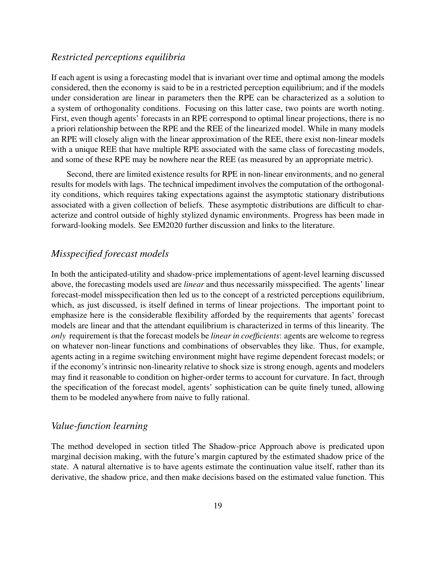#### *Restricted perceptions equilibria*

If each agent is using a forecasting model that is invariant over time and optimal among the models considered, then the economy is said to be in a restricted perception equilibrium; and if the models under consideration are linear in parameters then the RPE can be characterized as a solution to a system of orthogonality conditions. Focusing on this latter case, two points are worth noting. First, even though agents' forecasts in an RPE correspond to optimal linear projections, there is no a priori relationship between the RPE and the REE of the linearized model. While in many models an RPE will closely align with the linear approximation of the REE, there exist non-linear models with a unique REE that have multiple RPE associated with the same class of forecasting models, and some of these RPE may be nowhere near the REE (as measured by an appropriate metric).

Second, there are limited existence results for RPE in non-linear environments, and no general results for models with lags. The technical impediment involves the computation of the orthogonality conditions, which requires taking expectations against the asymptotic stationary distributions associated with a given collection of beliefs. These asymptotic distributions are difficult to characterize and control outside of highly stylized dynamic environments. Progress has been made in forward-looking models. See EM2020 further discussion and links to the literature.

#### *Misspecified forecast models*

In both the anticipated-utility and shadow-price implementations of agent-level learning discussed above, the forecasting models used are *linear* and thus necessarily misspecified. The agents' linear forecast-model misspecification then led us to the concept of a restricted perceptions equilibrium, which, as just discussed, is itself defined in terms of linear projections. The important point to emphasize here is the considerable flexibility afforded by the requirements that agents' forecast models are linear and that the attendant equilibrium is characterized in terms of this linearity. The *only* requirement is that the forecast models be *linear in coefficients*: agents are welcome to regress on whatever non-linear functions and combinations of observables they like. Thus, for example, agents acting in a regime switching environment might have regime dependent forecast models; or if the economy's intrinsic non-linearity relative to shock size is strong enough, agents and modelers may find it reasonable to condition on higher-order terms to account for curvature. In fact, through the specification of the forecast model, agents' sophistication can be quite finely tuned, allowing them to be modeled anywhere from naive to fully rational.

#### *Value-function learning*

The method developed in section titled The Shadow-price Approach above is predicated upon marginal decision making, with the future's margin captured by the estimated shadow price of the state. A natural alternative is to have agents estimate the continuation value itself, rather than its derivative, the shadow price, and then make decisions based on the estimated value function. This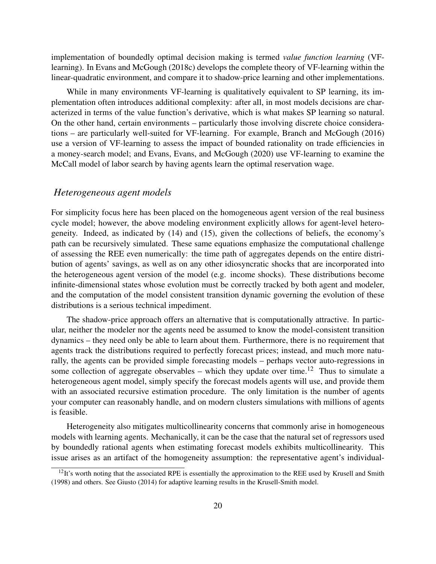implementation of boundedly optimal decision making is termed *value function learning* (VFlearning). In Evans and McGough (2018c) develops the complete theory of VF-learning within the linear-quadratic environment, and compare it to shadow-price learning and other implementations.

While in many environments VF-learning is qualitatively equivalent to SP learning, its implementation often introduces additional complexity: after all, in most models decisions are characterized in terms of the value function's derivative, which is what makes SP learning so natural. On the other hand, certain environments – particularly those involving discrete choice considerations – are particularly well-suited for VF-learning. For example, Branch and McGough (2016) use a version of VF-learning to assess the impact of bounded rationality on trade efficiencies in a money-search model; and Evans, Evans, and McGough (2020) use VF-learning to examine the McCall model of labor search by having agents learn the optimal reservation wage.

#### *Heterogeneous agent models*

For simplicity focus here has been placed on the homogeneous agent version of the real business cycle model; however, the above modeling environment explicitly allows for agent-level heterogeneity. Indeed, as indicated by (14) and (15), given the collections of beliefs, the economy's path can be recursively simulated. These same equations emphasize the computational challenge of assessing the REE even numerically: the time path of aggregates depends on the entire distribution of agents' savings, as well as on any other idiosyncratic shocks that are incorporated into the heterogeneous agent version of the model (e.g. income shocks). These distributions become infinite-dimensional states whose evolution must be correctly tracked by both agent and modeler, and the computation of the model consistent transition dynamic governing the evolution of these distributions is a serious technical impediment.

The shadow-price approach offers an alternative that is computationally attractive. In particular, neither the modeler nor the agents need be assumed to know the model-consistent transition dynamics – they need only be able to learn about them. Furthermore, there is no requirement that agents track the distributions required to perfectly forecast prices; instead, and much more naturally, the agents can be provided simple forecasting models – perhaps vector auto-regressions in some collection of aggregate observables – which they update over time.<sup>12</sup> Thus to simulate a heterogeneous agent model, simply specify the forecast models agents will use, and provide them with an associated recursive estimation procedure. The only limitation is the number of agents your computer can reasonably handle, and on modern clusters simulations with millions of agents is feasible.

Heterogeneity also mitigates multicollinearity concerns that commonly arise in homogeneous models with learning agents. Mechanically, it can be the case that the natural set of regressors used by boundedly rational agents when estimating forecast models exhibits multicollinearity. This issue arises as an artifact of the homogeneity assumption: the representative agent's individual-

 $12$ It's worth noting that the associated RPE is essentially the approximation to the REE used by Krusell and Smith (1998) and others. See Giusto (2014) for adaptive learning results in the Krusell-Smith model.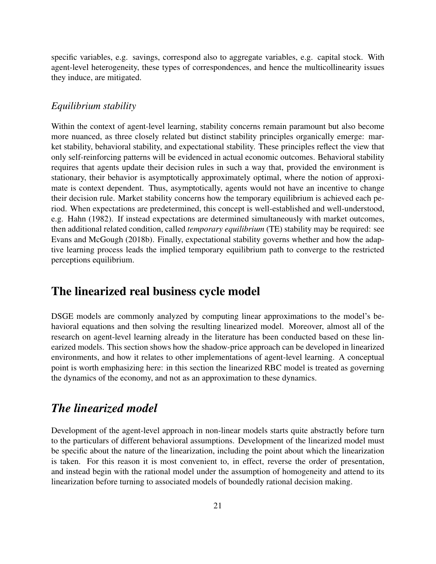specific variables, e.g. savings, correspond also to aggregate variables, e.g. capital stock. With agent-level heterogeneity, these types of correspondences, and hence the multicollinearity issues they induce, are mitigated.

#### *Equilibrium stability*

Within the context of agent-level learning, stability concerns remain paramount but also become more nuanced, as three closely related but distinct stability principles organically emerge: market stability, behavioral stability, and expectational stability. These principles reflect the view that only self-reinforcing patterns will be evidenced in actual economic outcomes. Behavioral stability requires that agents update their decision rules in such a way that, provided the environment is stationary, their behavior is asymptotically approximately optimal, where the notion of approximate is context dependent. Thus, asymptotically, agents would not have an incentive to change their decision rule. Market stability concerns how the temporary equilibrium is achieved each period. When expectations are predetermined, this concept is well-established and well-understood, e.g. Hahn (1982). If instead expectations are determined simultaneously with market outcomes, then additional related condition, called *temporary equilibrium* (TE) stability may be required: see Evans and McGough (2018b). Finally, expectational stability governs whether and how the adaptive learning process leads the implied temporary equilibrium path to converge to the restricted perceptions equilibrium.

## The linearized real business cycle model

DSGE models are commonly analyzed by computing linear approximations to the model's behavioral equations and then solving the resulting linearized model. Moreover, almost all of the research on agent-level learning already in the literature has been conducted based on these linearized models. This section shows how the shadow-price approach can be developed in linearized environments, and how it relates to other implementations of agent-level learning. A conceptual point is worth emphasizing here: in this section the linearized RBC model is treated as governing the dynamics of the economy, and not as an approximation to these dynamics.

## *The linearized model*

Development of the agent-level approach in non-linear models starts quite abstractly before turn to the particulars of different behavioral assumptions. Development of the linearized model must be specific about the nature of the linearization, including the point about which the linearization is taken. For this reason it is most convenient to, in effect, reverse the order of presentation, and instead begin with the rational model under the assumption of homogeneity and attend to its linearization before turning to associated models of boundedly rational decision making.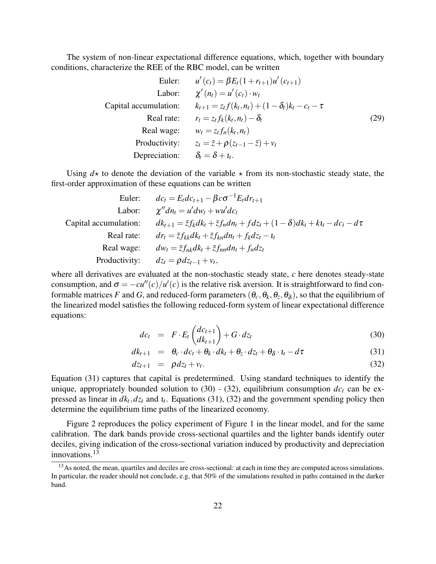The system of non-linear expectational difference equations, which, together with boundary conditions, characterize the REE of the RBC model, can be written

Euler:

\n
$$
u'(c_{t}) = \beta E_{t}(1 + r_{t+1})u'(c_{t+1})
$$
\nLabel:

\n
$$
\chi'(n_{t}) = u'(c_{t}) \cdot w_{t}
$$
\nCapital accumulation:

\n
$$
k_{t+1} = z_{t}f(k_{t}, n_{t}) + (1 - \delta_{t})k_{t} - c_{t} - \tau
$$
\nReal rate:

\n
$$
r_{t} = z_{t}f_{k}(k_{t}, n_{t}) - \delta_{t}
$$
\nReal wage:

\n
$$
w_{t} = z_{t}f_{n}(k_{t}, n_{t})
$$
\nProductivity:

\n
$$
z_{t} = \bar{z} + \rho(z_{t-1} - \bar{z}) + v_{t}
$$
\nDepreciation:

\n
$$
\delta_{t} = \delta + t_{t}.
$$
\n(29)

Using  $d\star$  to denote the deviation of the variable  $\star$  from its non-stochastic steady state, the first-order approximation of these equations can be written

Euler: 
$$
dc_{t} = E_{t}dc_{t+1} - \beta c \sigma^{-1}E_{t}dr_{t+1}
$$

\nLabel: 
$$
\chi''dn_{t} = u'dw_{t} + wu'dc_{t}
$$

\nCapital accumulation: 
$$
dk_{t+1} = \overline{z}f_{k}dk_{t} + \overline{z}f_{n}dn_{t} + fdz_{t} + (1 - \delta)dk_{t} + kt_{t} - dc_{t} - d\tau
$$

\nReal rate: 
$$
dr_{t} = \overline{z}f_{kk}dk_{t} + \overline{z}f_{kn}dn_{t} + f_{k}dz_{t} - t_{t}
$$

\nReal wage: 
$$
dw_{t} = \overline{z}f_{nk}dk_{t} + \overline{z}f_{nn}dn_{t} + f_{n}dz_{t}
$$

\nProductivity: 
$$
dz_{t} = \rho dz_{t-1} + v_{t},
$$

where all derivatives are evaluated at the non-stochastic steady state, *c* here denotes steady-state consumption, and  $\sigma = -cu''(c)/u'(c)$  is the relative risk aversion. It is straightforward to find conformable matrices *F* and *G*, and reduced-form parameters  $(\theta_c, \theta_k, \theta_z, \theta_\delta)$ , so that the equilibrium of the linearized model satisfies the following reduced-form system of linear expectational difference equations:

$$
dc_t = F \cdot E_t \begin{pmatrix} dc_{t+1} \\ dk_{t+1} \end{pmatrix} + G \cdot dz_t \tag{30}
$$

$$
dk_{t+1} = \theta_c \cdot dc_t + \theta_k \cdot dk_t + \theta_z \cdot dz_t + \theta_\delta \cdot t_t - d\tau \tag{31}
$$

$$
dz_{t+1} = \rho dz_t + v_t. \tag{32}
$$

Equation (31) captures that capital is predetermined. Using standard techniques to identify the unique, appropriately bounded solution to (30) - (32), equilibrium consumption  $dc<sub>t</sub>$  can be expressed as linear in  $dk_t$ ,  $dz_t$  and  $t_t$ . Equations (31), (32) and the government spending policy then determine the equilibrium time paths of the linearized economy.

Figure 2 reproduces the policy experiment of Figure 1 in the linear model, and for the same calibration. The dark bands provide cross-sectional quartiles and the lighter bands identify outer deciles, giving indication of the cross-sectional variation induced by productivity and depreciation innovations.<sup>13</sup>

<sup>&</sup>lt;sup>13</sup>As noted, the mean, quartiles and deciles are cross-sectional: at each in time they are computed across simulations. In particular, the reader should not conclude, e.g, that 50% of the simulations resulted in paths contained in the darker band.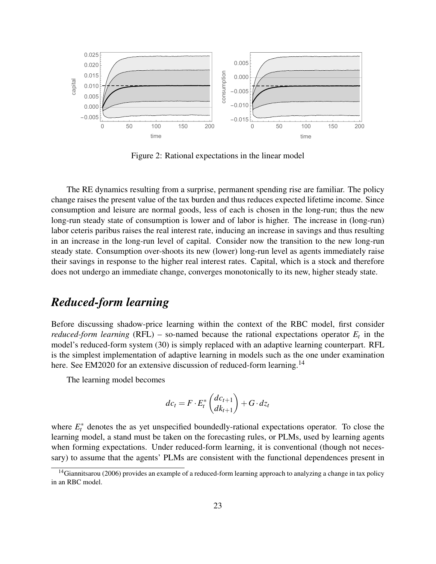

Figure 2: Rational expectations in the linear model

The RE dynamics resulting from a surprise, permanent spending rise are familiar. The policy change raises the present value of the tax burden and thus reduces expected lifetime income. Since consumption and leisure are normal goods, less of each is chosen in the long-run; thus the new long-run steady state of consumption is lower and of labor is higher. The increase in (long-run) labor ceteris paribus raises the real interest rate, inducing an increase in savings and thus resulting in an increase in the long-run level of capital. Consider now the transition to the new long-run steady state. Consumption over-shoots its new (lower) long-run level as agents immediately raise their savings in response to the higher real interest rates. Capital, which is a stock and therefore does not undergo an immediate change, converges monotonically to its new, higher steady state.

## *Reduced-form learning*

Before discussing shadow-price learning within the context of the RBC model, first consider *reduced-form learning* (RFL) – so-named because the rational expectations operator  $E_t$  in the model's reduced-form system (30) is simply replaced with an adaptive learning counterpart. RFL is the simplest implementation of adaptive learning in models such as the one under examination here. See EM2020 for an extensive discussion of reduced-form learning.<sup>14</sup>

The learning model becomes

$$
dc_t = F \cdot E_t^* \begin{pmatrix} dc_{t+1} \\ dk_{t+1} \end{pmatrix} + G \cdot dz_t
$$

where  $E_t^*$  denotes the as yet unspecified boundedly-rational expectations operator. To close the learning model, a stand must be taken on the forecasting rules, or PLMs, used by learning agents when forming expectations. Under reduced-form learning, it is conventional (though not necessary) to assume that the agents' PLMs are consistent with the functional dependences present in

<sup>&</sup>lt;sup>14</sup>Giannitsarou (2006) provides an example of a reduced-form learning approach to analyzing a change in tax policy in an RBC model.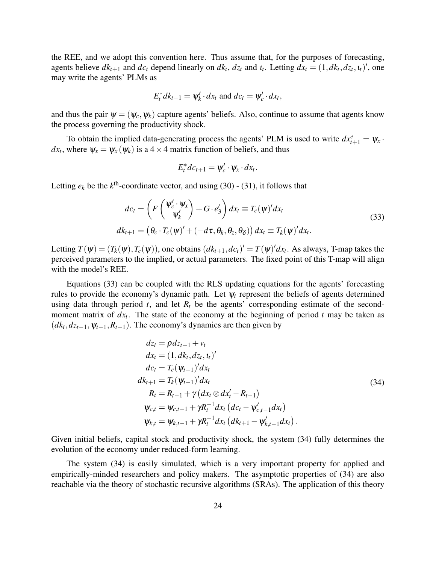the REE, and we adopt this convention here. Thus assume that, for the purposes of forecasting, agents believe  $dk_{t+1}$  and  $dc_t$  depend linearly on  $dk_t$ ,  $dz_t$  and  $u_t$ . Letting  $dx_t = (1, dk_t, dz_t, u_t)$ , one may write the agents' PLMs as

$$
E_t^* dk_{t+1} = \psi_k' \cdot dx_t \text{ and } dc_t = \psi_c' \cdot dx_t,
$$

and thus the pair  $\psi = (\psi_c, \psi_k)$  capture agents' beliefs. Also, continue to assume that agents know the process governing the productivity shock.

To obtain the implied data-generating process the agents' PLM is used to write  $dx_{t+1}^e = \psi_x$ .  $dx_t$ , where  $\psi_x = \psi_x(\psi_k)$  is a 4  $\times$  4 matrix function of beliefs, and thus

$$
E_t^*dc_{t+1}=\psi_c'\cdot\psi_x\cdot dx_t.
$$

Letting  $e_k$  be the  $k^{\text{th}}$ -coordinate vector, and using (30) - (31), it follows that

$$
dc_t = \left( F\left(\frac{\psi_c' \cdot \psi_x}{\psi_k'}\right) + G \cdot e_3' \right) dx_t \equiv T_c(\psi)' dx_t
$$
  
\n
$$
dk_{t+1} = \left( \theta_c \cdot T_c(\psi)' + \left( -d\tau, \theta_k, \theta_z, \theta_\delta \right) \right) dx_t \equiv T_k(\psi)' dx_t.
$$
\n(33)

Letting  $T(\psi) = (T_k(\psi), T_c(\psi))$ , one obtains  $(dk_{t+1}, dc_t)' = T(\psi)' dx_t$ . As always, T-map takes the perceived parameters to the implied, or actual parameters. The fixed point of this T-map will align with the model's REE.

Equations (33) can be coupled with the RLS updating equations for the agents' forecasting rules to provide the economy's dynamic path. Let  $\psi_t$  represent the beliefs of agents determined using data through period  $t$ , and let  $R_t$  be the agents' corresponding estimate of the secondmoment matrix of *dx<sup>t</sup>* . The state of the economy at the beginning of period *t* may be taken as  $(dk_t, dz_{t-1}, \psi_{t-1}, R_{t-1})$ . The economy's dynamics are then given by

$$
dz_{t} = \rho dz_{t-1} + v_{t}
$$
  
\n
$$
dx_{t} = (1, dk_{t}, dz_{t}, t_{t})'
$$
  
\n
$$
dc_{t} = T_{c}(\psi_{t-1})' dx_{t}
$$
  
\n
$$
dk_{t+1} = T_{k}(\psi_{t-1})' dx_{t}
$$
  
\n
$$
R_{t} = R_{t-1} + \gamma (dx_{t} \otimes dx_{t}' - R_{t-1})
$$
  
\n
$$
\psi_{c,t} = \psi_{c,t-1} + \gamma R_{t}^{-1} dx_{t} (dc_{t} - \psi_{c,t-1}' dx_{t})
$$
  
\n
$$
\psi_{k,t} = \psi_{k,t-1} + \gamma R_{t}^{-1} dx_{t} (dk_{t+1} - \psi_{k,t-1}' dx_{t}).
$$
\n(34)

Given initial beliefs, capital stock and productivity shock, the system (34) fully determines the evolution of the economy under reduced-form learning.

The system (34) is easily simulated, which is a very important property for applied and empirically-minded researchers and policy makers. The asymptotic properties of (34) are also reachable via the theory of stochastic recursive algorithms (SRAs). The application of this theory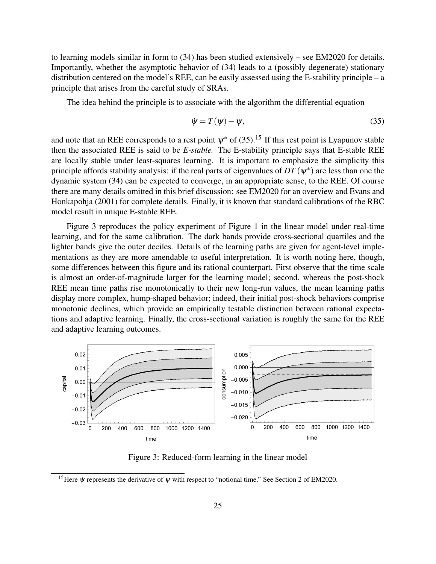to learning models similar in form to (34) has been studied extensively – see EM2020 for details. Importantly, whether the asymptotic behavior of (34) leads to a (possibly degenerate) stationary distribution centered on the model's REE, can be easily assessed using the E-stability principle – a principle that arises from the careful study of SRAs.

The idea behind the principle is to associate with the algorithm the differential equation

$$
\dot{\psi} = T(\psi) - \psi,\tag{35}
$$

and note that an REE corresponds to a rest point  $\psi^*$  of (35).<sup>15</sup> If this rest point is Lyapunov stable then the associated REE is said to be *E-stable.* The E-stability principle says that E-stable REE are locally stable under least-squares learning. It is important to emphasize the simplicity this principle affords stability analysis: if the real parts of eigenvalues of  $DT(\psi^*)$  are less than one the dynamic system (34) can be expected to converge, in an appropriate sense, to the REE. Of course there are many details omitted in this brief discussion: see EM2020 for an overview and Evans and Honkapohja (2001) for complete details. Finally, it is known that standard calibrations of the RBC model result in unique E-stable REE.

Figure 3 reproduces the policy experiment of Figure 1 in the linear model under real-time learning, and for the same calibration. The dark bands provide cross-sectional quartiles and the lighter bands give the outer deciles. Details of the learning paths are given for agent-level implementations as they are more amendable to useful interpretation. It is worth noting here, though, some differences between this figure and its rational counterpart. First observe that the time scale is almost an order-of-magnitude larger for the learning model; second, whereas the post-shock REE mean time paths rise monotonically to their new long-run values, the mean learning paths display more complex, hump-shaped behavior; indeed, their initial post-shock behaviors comprise monotonic declines, which provide an empirically testable distinction between rational expectations and adaptive learning. Finally, the cross-sectional variation is roughly the same for the REE and adaptive learning outcomes.



Figure 3: Reduced-form learning in the linear model

<sup>&</sup>lt;sup>15</sup>Here  $\dot{\psi}$  represents the derivative of  $\psi$  with respect to "notional time." See Section 2 of EM2020.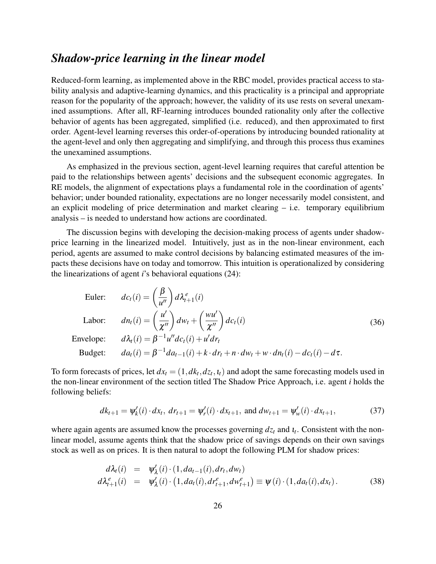# *Shadow-price learning in the linear model*

Reduced-form learning, as implemented above in the RBC model, provides practical access to stability analysis and adaptive-learning dynamics, and this practicality is a principal and appropriate reason for the popularity of the approach; however, the validity of its use rests on several unexamined assumptions. After all, RF-learning introduces bounded rationality only after the collective behavior of agents has been aggregated, simplified (i.e. reduced), and then approximated to first order. Agent-level learning reverses this order-of-operations by introducing bounded rationality at the agent-level and only then aggregating and simplifying, and through this process thus examines the unexamined assumptions.

As emphasized in the previous section, agent-level learning requires that careful attention be paid to the relationships between agents' decisions and the subsequent economic aggregates. In RE models, the alignment of expectations plays a fundamental role in the coordination of agents' behavior; under bounded rationality, expectations are no longer necessarily model consistent, and an explicit modeling of price determination and market clearing – i.e. temporary equilibrium analysis – is needed to understand how actions are coordinated.

The discussion begins with developing the decision-making process of agents under shadowprice learning in the linearized model. Intuitively, just as in the non-linear environment, each period, agents are assumed to make control decisions by balancing estimated measures of the impacts these decisions have on today and tomorrow. This intuition is operationalized by considering the linearizations of agent *i*'s behavioral equations (24):

Euler: 
$$
dc_t(i) = \left(\frac{\beta}{u''}\right) d\lambda_{t+1}^e(i)
$$
  
\nLabor:  $dn_t(i) = \left(\frac{u'}{\chi''}\right) dw_t + \left(\frac{wu'}{\chi''}\right) dc_t(i)$   
\nEnvelope:  $d\lambda_t(i) = \beta^{-1} u'' dc_t(i) + u'dr_t$   
\nBudget:  $da_t(i) = \beta^{-1} da_{t-1}(i) + k \cdot dr_t + n \cdot dw_t + w \cdot dn_t(i) - dc_t(i) - d\tau$ .

To form forecasts of prices, let  $dx_t = (1, dk_t, dz_t, t_t)$  and adopt the same forecasting models used in the non-linear environment of the section titled The Shadow Price Approach, i.e. agent *i* holds the following beliefs:

$$
dk_{t+1} = \psi'_k(i) \cdot dx_t, \, dr_{t+1} = \psi'_r(i) \cdot dx_{t+1}, \text{ and } dw_{t+1} = \psi'_w(i) \cdot dx_{t+1}, \tag{37}
$$

where again agents are assumed know the processes governing  $dz_t$  and  $i_t$ . Consistent with the nonlinear model, assume agents think that the shadow price of savings depends on their own savings stock as well as on prices. It is then natural to adopt the following PLM for shadow prices:

$$
d\lambda_t(i) = \psi'_{\lambda}(i) \cdot (1, da_{t-1}(i), dr_t, dw_t) d\lambda_{t+1}^e(i) = \psi'_{\lambda}(i) \cdot (1, da_t(i), dr_{t+1}^e, dw_{t+1}^e) \equiv \psi(i) \cdot (1, da_t(i), dx_t).
$$
 (38)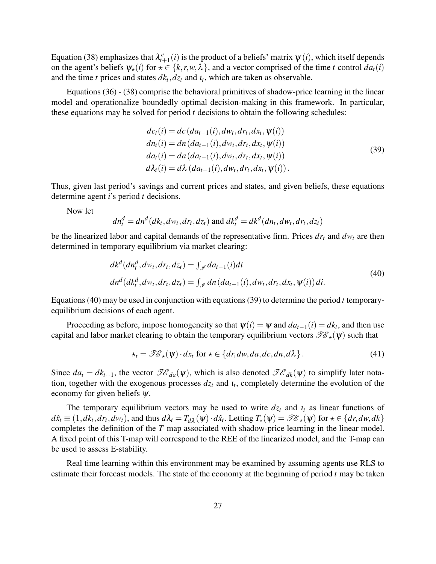Equation (38) emphasizes that  $\lambda_{t+1}^e(i)$  is the product of a beliefs' matrix  $\psi(i)$ , which itself depends on the agent's beliefs  $\psi_{\star}(i)$  for  $\star \in \{k, r, w, \lambda\}$ , and a vector comprised of the time *t* control  $da_t(i)$ and the time *t* prices and states  $dk_t, dz_t$  and  $t_t$ , which are taken as observable.

Equations (36) - (38) comprise the behavioral primitives of shadow-price learning in the linear model and operationalize boundedly optimal decision-making in this framework. In particular, these equations may be solved for period *t* decisions to obtain the following schedules:

$$
dc_{t}(i) = dc \left( da_{t-1}(i), dw_{t}, dr_{t}, dx_{t}, \psi(i) \right)
$$
  
\n
$$
dn_{t}(i) = dn \left( da_{t-1}(i), dw_{t}, dr_{t}, dx_{t}, \psi(i) \right)
$$
  
\n
$$
da_{t}(i) = da \left( da_{t-1}(i), dw_{t}, dr_{t}, dx_{t}, \psi(i) \right)
$$
  
\n
$$
d\lambda_{t}(i) = d\lambda \left( da_{t-1}(i), dw_{t}, dr_{t}, dx_{t}, \psi(i) \right).
$$
\n(39)

Thus, given last period's savings and current prices and states, and given beliefs, these equations determine agent *i*'s period *t* decisions.

Now let

$$
dn_t^d = dn^d(dk_t, dw_t, dr_t, dz_t) \text{ and } dk_t^d = dk^d(dn_t, dw_t, dr_t, dz_t)
$$

be the linearized labor and capital demands of the representative firm. Prices *dr<sup>t</sup>* and *dw<sup>t</sup>* are then determined in temporary equilibrium via market clearing:

$$
dk^d(dn_t^d, dw_t, dr_t, dz_t) = \int_{\mathscr{I}} da_{t-1}(i)di
$$
  
\n
$$
dn^d(dk_t^d, dw_t, dr_t, dz_t) = \int_{\mathscr{I}} dn(da_{t-1}(i), dw_t, dr_t, dx_t, \psi(i))di.
$$
\n(40)

Equations (40) may be used in conjunction with equations (39) to determine the period  $t$  temporaryequilibrium decisions of each agent.

Proceeding as before, impose homogeneity so that  $\psi(i) = \psi$  and  $da_{t-1}(i) = dk_t$ , and then use capital and labor market clearing to obtain the temporary equilibrium vectors  $\mathscr{TE}_{\star}(\psi)$  such that

$$
\star_t = \mathscr{T}\mathscr{E}_\star(\psi) \cdot dx_t \text{ for } \star \in \{dr, dw, da, dc, dn, d\lambda\}.
$$
 (41)

Since  $da_t = dk_{t+1}$ , the vector  $\mathscr{T}\mathscr{E}_{da}(\psi)$ , which is also denoted  $\mathscr{T}\mathscr{E}_{dk}(\psi)$  to simplify later notation, together with the exogenous processes  $dz_t$  and  $u_t$ , completely determine the evolution of the economy for given beliefs  $\psi$ .

The temporary equilibrium vectors may be used to write  $dz_t$  and  $u_t$  as linear functions of  $d\hat{x}_t \equiv (1, dk_t, dr_t, dw_t)$ , and thus  $d\lambda_t = T_{d\lambda}(\psi) \cdot d\hat{x}_t$ . Letting  $T_\star(\psi) = \mathcal{IC}_\star(\psi)$  for  $\star \in \{dr, dw, dk\}$ completes the definition of the *T* map associated with shadow-price learning in the linear model. A fixed point of this T-map will correspond to the REE of the linearized model, and the T-map can be used to assess E-stability.

Real time learning within this environment may be examined by assuming agents use RLS to estimate their forecast models. The state of the economy at the beginning of period *t* may be taken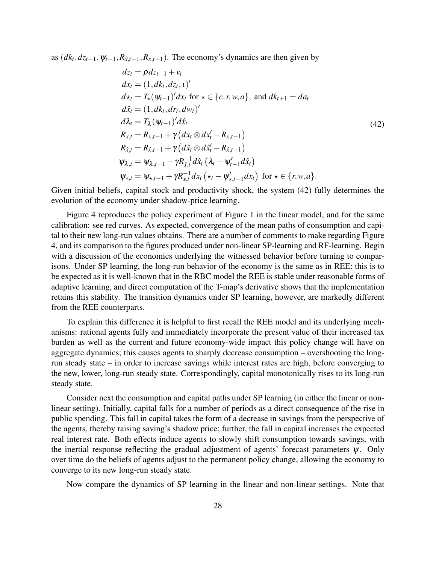as  $(dk_t, dz_{t-1}, \psi_{t-1}, R_{\hat{x},t-1}, R_{x,t-1})$ . The economy's dynamics are then given by

$$
dz_{t} = \rho dz_{t-1} + v_{t}
$$
  
\n
$$
dx_{t} = (1, dk_{t}, dz_{t}, 1)'
$$
  
\n
$$
d\star_{t} = T_{\star}(\psi_{t-1})' dx_{t} \text{ for } \star \in \{c, r, w, a\}, \text{ and } dk_{t+1} = da_{t}
$$
  
\n
$$
d\hat{x}_{t} = (1, dk_{t}, dr_{t}, dw_{t})'
$$
  
\n
$$
d\lambda_{t} = T_{\lambda}(\psi_{t-1})' d\hat{x}_{t}
$$
  
\n
$$
R_{x,t} = R_{x,t-1} + \gamma (dx_{t} \otimes dx_{t}' - R_{x,t-1})
$$
  
\n
$$
R_{\hat{x},t} = R_{\hat{x},t-1} + \gamma (d\hat{x}_{t} \otimes d\hat{x}_{t}' - R_{\hat{x},t-1})
$$
  
\n
$$
\psi_{\lambda,t} = \psi_{\lambda,t-1} + \gamma R_{\hat{x},t}^{-1} d\hat{x}_{t} (\lambda_{t} - \psi_{t-1}' d\hat{x}_{t})
$$
  
\n
$$
\psi_{\star,t} = \psi_{\star,t-1} + \gamma R_{x,t}^{-1} dx_{t} (\star_{t} - \psi_{\star,t-1}' dx_{t}) \text{ for } \star \in \{r, w, a\}.
$$
\n(42)

Given initial beliefs, capital stock and productivity shock, the system (42) fully determines the evolution of the economy under shadow-price learning.

Figure 4 reproduces the policy experiment of Figure 1 in the linear model, and for the same calibration: see red curves. As expected, convergence of the mean paths of consumption and capital to their new long-run values obtains. There are a number of comments to make regarding Figure 4, and its comparison to the figures produced under non-linear SP-learning and RF-learning. Begin with a discussion of the economics underlying the witnessed behavior before turning to comparisons. Under SP learning, the long-run behavior of the economy is the same as in REE: this is to be expected as it is well-known that in the RBC model the REE is stable under reasonable forms of adaptive learning, and direct computation of the T-map's derivative shows that the implementation retains this stability. The transition dynamics under SP learning, however, are markedly different from the REE counterparts.

To explain this difference it is helpful to first recall the REE model and its underlying mechanisms: rational agents fully and immediately incorporate the present value of their increased tax burden as well as the current and future economy-wide impact this policy change will have on aggregate dynamics; this causes agents to sharply decrease consumption – overshooting the longrun steady state – in order to increase savings while interest rates are high, before converging to the new, lower, long-run steady state. Correspondingly, capital monotonically rises to its long-run steady state.

Consider next the consumption and capital paths under SP learning (in either the linear or nonlinear setting). Initially, capital falls for a number of periods as a direct consequence of the rise in public spending. This fall in capital takes the form of a decrease in savings from the perspective of the agents, thereby raising saving's shadow price; further, the fall in capital increases the expected real interest rate. Both effects induce agents to slowly shift consumption towards savings, with the inertial response reflecting the gradual adjustment of agents' forecast parameters  $\psi$ . Only over time do the beliefs of agents adjust to the permanent policy change, allowing the economy to converge to its new long-run steady state.

Now compare the dynamics of SP learning in the linear and non-linear settings. Note that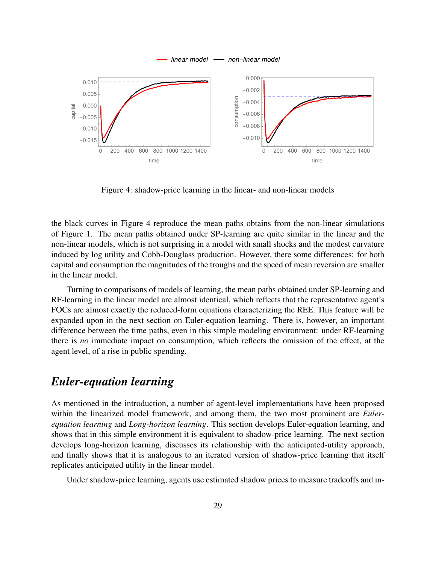

Figure 4: shadow-price learning in the linear- and non-linear models

the black curves in Figure 4 reproduce the mean paths obtains from the non-linear simulations of Figure 1. The mean paths obtained under SP-learning are quite similar in the linear and the non-linear models, which is not surprising in a model with small shocks and the modest curvature induced by log utility and Cobb-Douglass production. However, there some differences: for both capital and consumption the magnitudes of the troughs and the speed of mean reversion are smaller in the linear model.

Turning to comparisons of models of learning, the mean paths obtained under SP-learning and RF-learning in the linear model are almost identical, which reflects that the representative agent's FOCs are almost exactly the reduced-form equations characterizing the REE. This feature will be expanded upon in the next section on Euler-equation learning. There is, however, an important difference between the time paths, even in this simple modeling environment: under RF-learning there is *no* immediate impact on consumption, which reflects the omission of the effect, at the agent level, of a rise in public spending.

## *Euler-equation learning*

As mentioned in the introduction, a number of agent-level implementations have been proposed within the linearized model framework, and among them, the two most prominent are *Eulerequation learning* and *Long-horizon learning*. This section develops Euler-equation learning, and shows that in this simple environment it is equivalent to shadow-price learning. The next section develops long-horizon learning, discusses its relationship with the anticipated-utility approach, and finally shows that it is analogous to an iterated version of shadow-price learning that itself replicates anticipated utility in the linear model.

Under shadow-price learning, agents use estimated shadow prices to measure tradeoffs and in-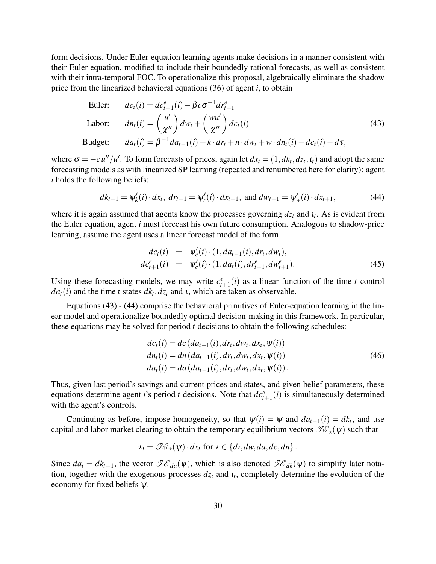form decisions. Under Euler-equation learning agents make decisions in a manner consistent with their Euler equation, modified to include their boundedly rational forecasts, as well as consistent with their intra-temporal FOC. To operationalize this proposal, algebraically eliminate the shadow price from the linearized behavioral equations (36) of agent *i*, to obtain

Euler: 
$$
dc_{t}(i) = dc_{t+1}^{e}(i) - \beta c \sigma^{-1} dr_{t+1}^{e}
$$
  
\nLabor: 
$$
dn_{t}(i) = \left(\frac{u'}{\chi''}\right) dw_{t} + \left(\frac{wu'}{\chi''}\right) dc_{t}(i)
$$
  
\nBudelet: 
$$
da_{t}(i) = \beta^{-1} da_{t-1}(i) + k \cdot dr_{t} + n \cdot dw_{t} + w \cdot dn_{t}(i) - dc_{t}(i) - d\tau,
$$
\n(43)

where  $\sigma = -cu''/u'$ . To form forecasts of prices, again let  $dx_t = (1, dk_t, dz_t, t_t)$  and adopt the same forecasting models as with linearized SP learning (repeated and renumbered here for clarity): agent *i* holds the following beliefs:

$$
dk_{t+1} = \psi'_k(i) \cdot dx_t, \, dr_{t+1} = \psi'_r(i) \cdot dx_{t+1}, \text{ and } dw_{t+1} = \psi'_w(i) \cdot dx_{t+1}, \tag{44}
$$

where it is again assumed that agents know the processes governing *dz<sup>t</sup>* and ι*<sup>t</sup>* . As is evident from the Euler equation, agent *i* must forecast his own future consumption. Analogous to shadow-price learning, assume the agent uses a linear forecast model of the form

$$
dc_{t}(i) = \psi'_{c}(i) \cdot (1, da_{t-1}(i), dr_{t}, dw_{t}),
$$
  
\n
$$
dc_{t+1}^{e}(i) = \psi'_{c}(i) \cdot (1, da_{t}(i), dr_{t+1}^{e}, dw_{t+1}^{e}).
$$
\n(45)

Using these forecasting models, we may write  $c_{t+1}^e(i)$  as a linear function of the time *t* control  $da_t(i)$  and the time *t* states  $dk_t, dz_t$  and *t*, which are taken as observable.

Equations (43) - (44) comprise the behavioral primitives of Euler-equation learning in the linear model and operationalize boundedly optimal decision-making in this framework. In particular, these equations may be solved for period *t* decisions to obtain the following schedules:

$$
dc_{t}(i) = dc(da_{t-1}(i), dr_{t}, dw_{t}, dx_{t}, \Psi(i))
$$
  
\n
$$
dn_{t}(i) = dn(da_{t-1}(i), dr_{t}, dw_{t}, dx_{t}, \Psi(i))
$$
  
\n
$$
da_{t}(i) = da(da_{t-1}(i), dr_{t}, dw_{t}, dx_{t}, \Psi(i)).
$$
\n(46)

Thus, given last period's savings and current prices and states, and given belief parameters, these equations determine agent *i*'s period *t* decisions. Note that  $dc_{t+1}^e(i)$  is simultaneously determined with the agent's controls.

Continuing as before, impose homogeneity, so that  $\psi(i) = \psi$  and  $da_{t-1}(i) = dk_t$ , and use capital and labor market clearing to obtain the temporary equilibrium vectors  $\mathscr{T}\mathscr{E}_{\star}(\psi)$  such that

$$
\star_t = \mathscr{T}\!\mathscr{E}_\star(\psi) \cdot dx_t \text{ for } \star \in \{dr, dw, da, dc, dn\}.
$$

Since  $da_t = dk_{t+1}$ , the vector  $\mathscr{TE}_{da}(\psi)$ , which is also denoted  $\mathscr{TE}_{dk}(\psi)$  to simplify later notation, together with the exogenous processes  $dz_t$  and  $u_t$ , completely determine the evolution of the economy for fixed beliefs  $\psi$ .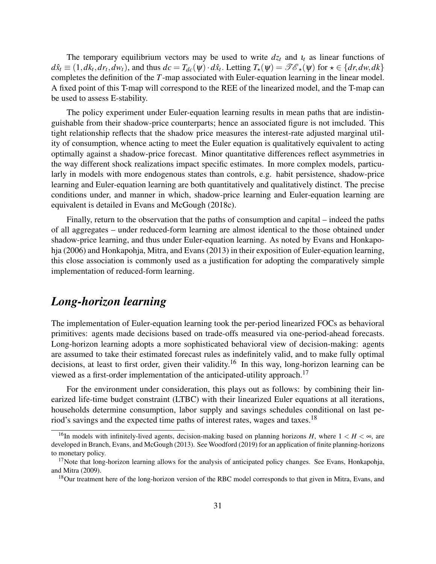The temporary equilibrium vectors may be used to write  $dz_t$  and  $u_t$  as linear functions of  $d\hat{x}_t \equiv (1, dk_t, dr_t, dw_t)$ , and thus  $dc = T_{dc}(\psi) \cdot d\hat{x}_t$ . Letting  $T_{\star}(\psi) = \mathscr{T} \mathscr{E}_{\star}(\psi)$  for  $\star \in \{dr, dw, dk\}$ completes the definition of the *T*-map associated with Euler-equation learning in the linear model. A fixed point of this T-map will correspond to the REE of the linearized model, and the T-map can be used to assess E-stability.

The policy experiment under Euler-equation learning results in mean paths that are indistinguishable from their shadow-price counterparts; hence an associated figure is not imcluded. This tight relationship reflects that the shadow price measures the interest-rate adjusted marginal utility of consumption, whence acting to meet the Euler equation is qualitatively equivalent to acting optimally against a shadow-price forecast. Minor quantitative differences reflect asymmetries in the way different shock realizations impact specific estimates. In more complex models, particularly in models with more endogenous states than controls, e.g. habit persistence, shadow-price learning and Euler-equation learning are both quantitatively and qualitatively distinct. The precise conditions under, and manner in which, shadow-price learning and Euler-equation learning are equivalent is detailed in Evans and McGough (2018c).

Finally, return to the observation that the paths of consumption and capital – indeed the paths of all aggregates – under reduced-form learning are almost identical to the those obtained under shadow-price learning, and thus under Euler-equation learning. As noted by Evans and Honkapohja (2006) and Honkapohja, Mitra, and Evans (2013) in their exposition of Euler-equation learning, this close association is commonly used as a justification for adopting the comparatively simple implementation of reduced-form learning.

## *Long-horizon learning*

The implementation of Euler-equation learning took the per-period linearized FOCs as behavioral primitives: agents made decisions based on trade-offs measured via one-period-ahead forecasts. Long-horizon learning adopts a more sophisticated behavioral view of decision-making: agents are assumed to take their estimated forecast rules as indefinitely valid, and to make fully optimal decisions, at least to first order, given their validity.<sup>16</sup> In this way, long-horizon learning can be viewed as a first-order implementation of the anticipated-utility approach.<sup>17</sup>

For the environment under consideration, this plays out as follows: by combining their linearized life-time budget constraint (LTBC) with their linearized Euler equations at all iterations, households determine consumption, labor supply and savings schedules conditional on last period's savings and the expected time paths of interest rates, wages and taxes.<sup>18</sup>

<sup>&</sup>lt;sup>16</sup>In models with infinitely-lived agents, decision-making based on planning horizons *H*, where  $1 < H < \infty$ , are developed in Branch, Evans, and McGough (2013). See Woodford (2019) for an application of finite planning-horizons to monetary policy.

 $17$ Note that long-horizon learning allows for the analysis of anticipated policy changes. See Evans, Honkapohja, and Mitra (2009).

<sup>&</sup>lt;sup>18</sup>Our treatment here of the long-horizon version of the RBC model corresponds to that given in Mitra, Evans, and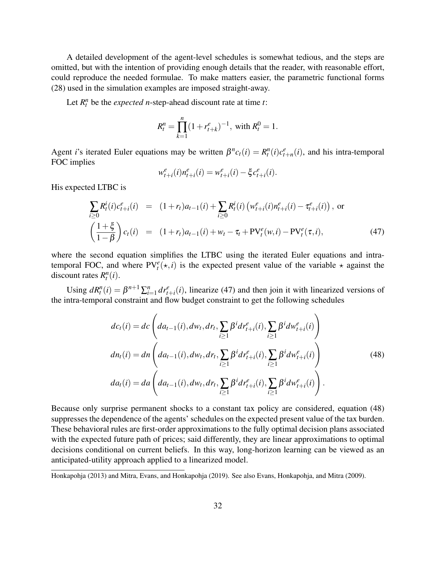A detailed development of the agent-level schedules is somewhat tedious, and the steps are omitted, but with the intention of providing enough details that the reader, with reasonable effort, could reproduce the needed formulae. To make matters easier, the parametric functional forms (28) used in the simulation examples are imposed straight-away.

Let  $R_t^n$  be the *expected n*-step-ahead discount rate at time *t*:

$$
R_t^n = \prod_{k=1}^n (1 + r_{t+k}^e)^{-1}, \text{ with } R_t^0 = 1.
$$

Agent *i*'s iterated Euler equations may be written  $\beta^{n} c_t(i) = R_t^n(i) c_{t+n}^e(i)$ , and his intra-temporal FOC implies

$$
w_{t+i}^e(i)n_{t+i}^e(i) = w_{t+i}^e(i) - \xi c_{t+i}^e(i).
$$

His expected LTBC is

$$
\sum_{i\geq 0} R_t^i(i)c_{t+i}^e(i) = (1+r_t)a_{t-1}(i) + \sum_{i\geq 0} R_t^i(i) \left(w_{t+i}^e(i)n_{t+i}^e(i) - \tau_{t+i}^e(i)\right), \text{ or}
$$
\n
$$
\left(\frac{1+\xi}{1-\beta}\right)c_t(i) = (1+r_t)a_{t-1}(i) + w_t - \tau_t + \text{PV}_t^e(w,i) - \text{PV}_t^e(\tau,i), \tag{47}
$$

where the second equation simplifies the LTBC using the iterated Euler equations and intratemporal FOC, and where  $PV_t^e(\star, i)$  is the expected present value of the variable  $\star$  against the discount rates  $R_t^n(i)$ .

Using  $dR_t^n(i) = \beta^{n+1} \sum_{i=1}^n dr_{t+i}^e(i)$ , linearize (47) and then join it with linearized versions of the intra-temporal constraint and flow budget constraint to get the following schedules

$$
dc_{t}(i) = dc \left( da_{t-1}(i), dw_{t}, dr_{t}, \sum_{i \geq 1} \beta^{i} dr_{t+i}^{e}(i), \sum_{i \geq 1} \beta^{i} dw_{t+i}^{e}(i) \right)
$$
  
\n
$$
dn_{t}(i) = dn \left( da_{t-1}(i), dw_{t}, dr_{t}, \sum_{i \geq 1} \beta^{i} dr_{t+i}^{e}(i), \sum_{i \geq 1} \beta^{i} dw_{t+i}^{e}(i) \right)
$$
  
\n
$$
da_{t}(i) = da \left( da_{t-1}(i), dw_{t}, dr_{t}, \sum_{i \geq 1} \beta^{i} dr_{t+i}^{e}(i), \sum_{i \geq 1} \beta^{i} dw_{t+i}^{e}(i) \right).
$$
\n(48)

Because only surprise permanent shocks to a constant tax policy are considered, equation (48) suppresses the dependence of the agents' schedules on the expected present value of the tax burden. These behavioral rules are first-order approximations to the fully optimal decision plans associated with the expected future path of prices; said differently, they are linear approximations to optimal decisions conditional on current beliefs. In this way, long-horizon learning can be viewed as an anticipated-utility approach applied to a linearized model.

Honkapohja (2013) and Mitra, Evans, and Honkapohja (2019). See also Evans, Honkapohja, and Mitra (2009).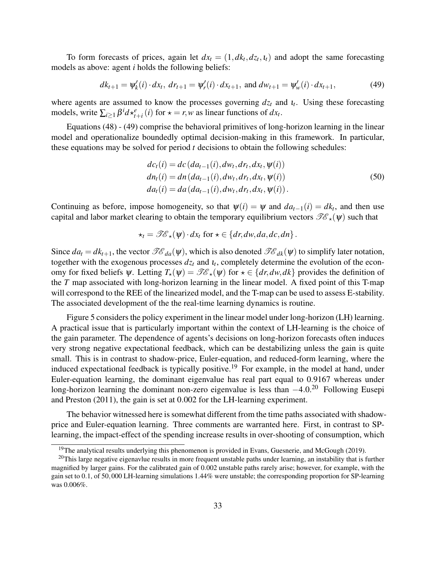To form forecasts of prices, again let  $dx_t = (1, dk_t, dz_t, t_t)$  and adopt the same forecasting models as above: agent *i* holds the following beliefs:

$$
dk_{t+1} = \psi'_k(i) \cdot dx_t, \, dr_{t+1} = \psi'_r(i) \cdot dx_{t+1}, \text{ and } dw_{t+1} = \psi'_w(i) \cdot dx_{t+1}, \tag{49}
$$

where agents are assumed to know the processes governing  $dz_t$  and  $u_t$ . Using these forecasting models, write  $\sum_{i\geq 1} \beta^i d \star_{t+i}^e (i)$  for  $\star = r, w$  as linear functions of  $dx_t$ .

Equations (48) - (49) comprise the behavioral primitives of long-horizon learning in the linear model and operationalize boundedly optimal decision-making in this framework. In particular, these equations may be solved for period *t* decisions to obtain the following schedules:

$$
dc_{t}(i) = dc (da_{t-1}(i), dw_{t}, dr_{t}, dx_{t}, \psi(i))
$$
  
\n
$$
dn_{t}(i) = dn (da_{t-1}(i), dw_{t}, dr_{t}, dx_{t}, \psi(i))
$$
  
\n
$$
da_{t}(i) = da (da_{t-1}(i), dw_{t}, dr_{t}, dx_{t}, \psi(i)).
$$
\n(50)

Continuing as before, impose homogeneity, so that  $\psi(i) = \psi$  and  $da_{t-1}(i) = dk_t$ , and then use capital and labor market clearing to obtain the temporary equilibrium vectors  $\mathscr{T}\mathscr{E}_{\star}(\psi)$  such that

$$
\star_t = \mathscr{T}\!\mathscr{E}_\star(\psi) \cdot dx_t \text{ for } \star \in \{dr, dw, da, dc, dn\}.
$$

Since  $da_t = dk_{t+1}$ , the vector  $\mathscr{TE}_{da}(\psi)$ , which is also denoted  $\mathscr{TE}_{dk}(\psi)$  to simplify later notation, together with the exogenous processes  $dz_t$  and  $u_t$ , completely determine the evolution of the economy for fixed beliefs  $\psi$ . Letting  $T_{\star}(\psi) = \mathcal{IC}_{\star}(\psi)$  for  $\star \in \{dr, dw, dk\}$  provides the definition of the *T* map associated with long-horizon learning in the linear model. A fixed point of this T-map will correspond to the REE of the linearized model, and the T-map can be used to assess E-stability. The associated development of the the real-time learning dynamics is routine.

Figure 5 considers the policy experiment in the linear model under long-horizon (LH) learning. A practical issue that is particularly important within the context of LH-learning is the choice of the gain parameter. The dependence of agents's decisions on long-horizon forecasts often induces very strong negative expectational feedback, which can be destabilizing unless the gain is quite small. This is in contrast to shadow-price, Euler-equation, and reduced-form learning, where the induced expectational feedback is typically positive.<sup>19</sup> For example, in the model at hand, under Euler-equation learning, the dominant eigenvalue has real part equal to 0.9167 whereas under long-horizon learning the dominant non-zero eigenvalue is less than −4.0.<sup>20</sup> Following Eusepi and Preston (2011), the gain is set at 0.002 for the LH-learning experiment.

The behavior witnessed here is somewhat different from the time paths associated with shadowprice and Euler-equation learning. Three comments are warranted here. First, in contrast to SPlearning, the impact-effect of the spending increase results in over-shooting of consumption, which

<sup>&</sup>lt;sup>19</sup>The analytical results underlying this phenomenon is provided in Evans, Guesnerie, and McGough (2019).

 $20$ This large negative eigenavlue results in more frequent unstable paths under learning, an instability that is further magnified by larger gains. For the calibrated gain of 0.002 unstable paths rarely arise; however, for example, with the gain set to 0.1, of 50,000 LH-learning simulations 1.44% were unstable; the corresponding proportion for SP-learning was 0.006%.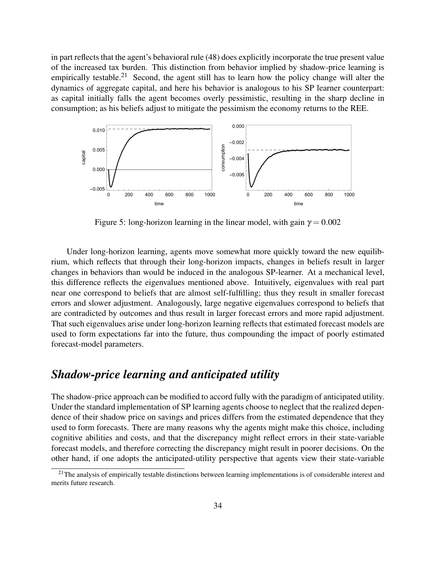in part reflects that the agent's behavioral rule (48) does explicitly incorporate the true present value of the increased tax burden. This distinction from behavior implied by shadow-price learning is empirically testable.<sup>21</sup> Second, the agent still has to learn how the policy change will alter the dynamics of aggregate capital, and here his behavior is analogous to his SP learner counterpart: as capital initially falls the agent becomes overly pessimistic, resulting in the sharp decline in consumption; as his beliefs adjust to mitigate the pessimism the economy returns to the REE.



Figure 5: long-horizon learning in the linear model, with gain  $\gamma = 0.002$ 

Under long-horizon learning, agents move somewhat more quickly toward the new equilibrium, which reflects that through their long-horizon impacts, changes in beliefs result in larger changes in behaviors than would be induced in the analogous SP-learner. At a mechanical level, this difference reflects the eigenvalues mentioned above. Intuitively, eigenvalues with real part near one correspond to beliefs that are almost self-fulfilling; thus they result in smaller forecast errors and slower adjustment. Analogously, large negative eigenvalues correspond to beliefs that are contradicted by outcomes and thus result in larger forecast errors and more rapid adjustment. That such eigenvalues arise under long-horizon learning reflects that estimated forecast models are used to form expectations far into the future, thus compounding the impact of poorly estimated forecast-model parameters.

## *Shadow-price learning and anticipated utility*

The shadow-price approach can be modified to accord fully with the paradigm of anticipated utility. Under the standard implementation of SP learning agents choose to neglect that the realized dependence of their shadow price on savings and prices differs from the estimated dependence that they used to form forecasts. There are many reasons why the agents might make this choice, including cognitive abilities and costs, and that the discrepancy might reflect errors in their state-variable forecast models, and therefore correcting the discrepancy might result in poorer decisions. On the other hand, if one adopts the anticipated-utility perspective that agents view their state-variable

<sup>&</sup>lt;sup>21</sup>The analysis of empirically testable distinctions between learning implementations is of considerable interest and merits future research.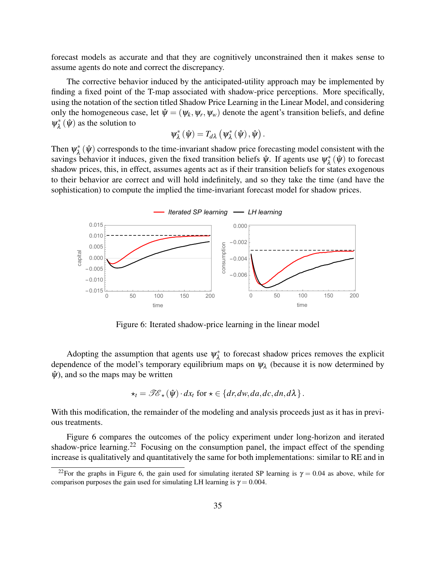forecast models as accurate and that they are cognitively unconstrained then it makes sense to assume agents do note and correct the discrepancy.

The corrective behavior induced by the anticipated-utility approach may be implemented by finding a fixed point of the T-map associated with shadow-price perceptions. More specifically, using the notation of the section titled Shadow Price Learning in the Linear Model, and considering only the homogeneous case, let  $\hat{\psi} = (\psi_k, \psi_r, \psi_w)$  denote the agent's transition beliefs, and define  $\psi_{\lambda}^*$  $\chi^*_{\lambda}(\hat{\psi})$  as the solution to

$$
\psi_{\lambda}^*\left(\hat{\psi}\right) = T_{d\lambda}\left(\psi_{\lambda}^*\left(\hat{\psi}\right), \hat{\psi}\right).
$$

Then  $\psi_{\lambda}^*$  $\chi^*_{\lambda}(\hat{\psi})$  corresponds to the time-invariant shadow price forecasting model consistent with the savings behavior it induces, given the fixed transition beliefs  $\hat{\psi}$ . If agents use  $\psi_{\lambda}^*$  $\chi^*_{\lambda}(\hat{\psi})$  to forecast shadow prices, this, in effect, assumes agents act as if their transition beliefs for states exogenous to their behavior are correct and will hold indefinitely, and so they take the time (and have the sophistication) to compute the implied the time-invariant forecast model for shadow prices.



Figure 6: Iterated shadow-price learning in the linear model

Adopting the assumption that agents use  $\psi_{\lambda}^*$  $\lambda^*$  to forecast shadow prices removes the explicit dependence of the model's temporary equilibrium maps on  $\psi_{\lambda}$  (because it is now determined by  $\hat{\psi}$ , and so the maps may be written

$$
\star_t = \mathscr{TE}_\star(\hat{\psi}) \cdot dx_t \text{ for } \star \in \{dr, dw, da, dc, dn, d\lambda\}.
$$

With this modification, the remainder of the modeling and analysis proceeds just as it has in previous treatments.

Figure 6 compares the outcomes of the policy experiment under long-horizon and iterated shadow-price learning.<sup>22</sup> Focusing on the consumption panel, the impact effect of the spending increase is qualitatively and quantitatively the same for both implementations: similar to RE and in

<sup>&</sup>lt;sup>22</sup>For the graphs in Figure 6, the gain used for simulating iterated SP learning is  $\gamma = 0.04$  as above, while for comparison purposes the gain used for simulating LH learning is  $\gamma = 0.004$ .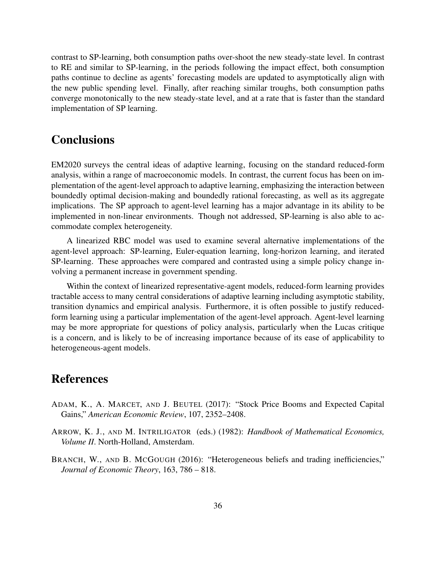contrast to SP-learning, both consumption paths over-shoot the new steady-state level. In contrast to RE and similar to SP-learning, in the periods following the impact effect, both consumption paths continue to decline as agents' forecasting models are updated to asymptotically align with the new public spending level. Finally, after reaching similar troughs, both consumption paths converge monotonically to the new steady-state level, and at a rate that is faster than the standard implementation of SP learning.

## **Conclusions**

EM2020 surveys the central ideas of adaptive learning, focusing on the standard reduced-form analysis, within a range of macroeconomic models. In contrast, the current focus has been on implementation of the agent-level approach to adaptive learning, emphasizing the interaction between boundedly optimal decision-making and boundedly rational forecasting, as well as its aggregate implications. The SP approach to agent-level learning has a major advantage in its ability to be implemented in non-linear environments. Though not addressed, SP-learning is also able to accommodate complex heterogeneity.

A linearized RBC model was used to examine several alternative implementations of the agent-level approach: SP-learning, Euler-equation learning, long-horizon learning, and iterated SP-learning. These approaches were compared and contrasted using a simple policy change involving a permanent increase in government spending.

Within the context of linearized representative-agent models, reduced-form learning provides tractable access to many central considerations of adaptive learning including asymptotic stability, transition dynamics and empirical analysis. Furthermore, it is often possible to justify reducedform learning using a particular implementation of the agent-level approach. Agent-level learning may be more appropriate for questions of policy analysis, particularly when the Lucas critique is a concern, and is likely to be of increasing importance because of its ease of applicability to heterogeneous-agent models.

## References

- ADAM, K., A. MARCET, AND J. BEUTEL (2017): "Stock Price Booms and Expected Capital Gains," *American Economic Review*, 107, 2352–2408.
- ARROW, K. J., AND M. INTRILIGATOR (eds.) (1982): *Handbook of Mathematical Economics, Volume II*. North-Holland, Amsterdam.
- BRANCH, W., AND B. MCGOUGH (2016): "Heterogeneous beliefs and trading inefficiencies," *Journal of Economic Theory*, 163, 786 – 818.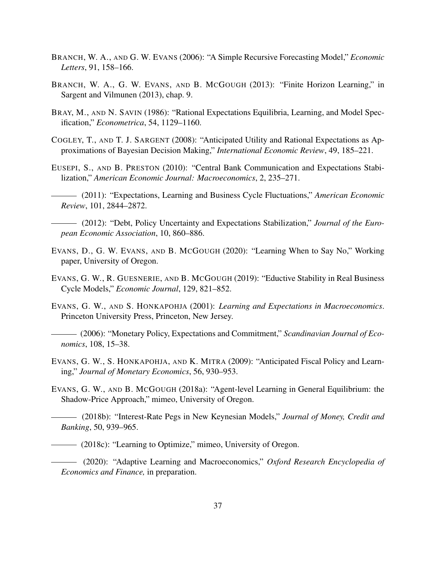- BRANCH, W. A., AND G. W. EVANS (2006): "A Simple Recursive Forecasting Model," *Economic Letters*, 91, 158–166.
- BRANCH, W. A., G. W. EVANS, AND B. MCGOUGH (2013): "Finite Horizon Learning," in Sargent and Vilmunen (2013), chap. 9.
- BRAY, M., AND N. SAVIN (1986): "Rational Expectations Equilibria, Learning, and Model Specification," *Econometrica*, 54, 1129–1160.
- COGLEY, T., AND T. J. SARGENT (2008): "Anticipated Utility and Rational Expectations as Approximations of Bayesian Decision Making," *International Economic Review*, 49, 185–221.
- EUSEPI, S., AND B. PRESTON (2010): "Central Bank Communication and Expectations Stabilization," *American Economic Journal: Macroeconomics*, 2, 235–271.
- (2011): "Expectations, Learning and Business Cycle Fluctuations," *American Economic Review*, 101, 2844–2872.
- (2012): "Debt, Policy Uncertainty and Expectations Stabilization," *Journal of the European Economic Association*, 10, 860–886.
- EVANS, D., G. W. EVANS, AND B. MCGOUGH (2020): "Learning When to Say No," Working paper, University of Oregon.
- EVANS, G. W., R. GUESNERIE, AND B. MCGOUGH (2019): "Eductive Stability in Real Business Cycle Models," *Economic Journal*, 129, 821–852.
- EVANS, G. W., AND S. HONKAPOHJA (2001): *Learning and Expectations in Macroeconomics*. Princeton University Press, Princeton, New Jersey.
- (2006): "Monetary Policy, Expectations and Commitment," *Scandinavian Journal of Economics*, 108, 15–38.
- EVANS, G. W., S. HONKAPOHJA, AND K. MITRA (2009): "Anticipated Fiscal Policy and Learning," *Journal of Monetary Economics*, 56, 930–953.
- EVANS, G. W., AND B. MCGOUGH (2018a): "Agent-level Learning in General Equilibrium: the Shadow-Price Approach," mimeo, University of Oregon.
- (2018b): "Interest-Rate Pegs in New Keynesian Models," *Journal of Money, Credit and Banking*, 50, 939–965.
- (2018c): "Learning to Optimize," mimeo, University of Oregon.
- (2020): "Adaptive Learning and Macroeconomics," *Oxford Research Encyclopedia of Economics and Finance,* in preparation.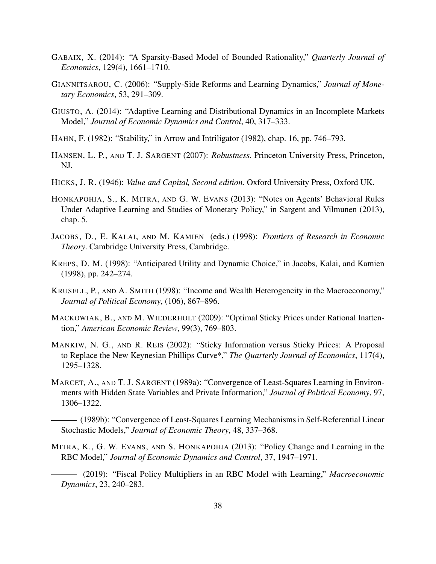- GABAIX, X. (2014): "A Sparsity-Based Model of Bounded Rationality," *Quarterly Journal of Economics*, 129(4), 1661–1710.
- GIANNITSAROU, C. (2006): "Supply-Side Reforms and Learning Dynamics," *Journal of Monetary Economics*, 53, 291–309.
- GIUSTO, A. (2014): "Adaptive Learning and Distributional Dynamics in an Incomplete Markets Model," *Journal of Economic Dynamics and Control*, 40, 317–333.
- HAHN, F. (1982): "Stability," in Arrow and Intriligator (1982), chap. 16, pp. 746–793.
- HANSEN, L. P., AND T. J. SARGENT (2007): *Robustness*. Princeton University Press, Princeton, NJ.
- HICKS, J. R. (1946): *Value and Capital, Second edition*. Oxford University Press, Oxford UK.
- HONKAPOHJA, S., K. MITRA, AND G. W. EVANS (2013): "Notes on Agents' Behavioral Rules Under Adaptive Learning and Studies of Monetary Policy," in Sargent and Vilmunen (2013), chap. 5.
- JACOBS, D., E. KALAI, AND M. KAMIEN (eds.) (1998): *Frontiers of Research in Economic Theory*. Cambridge University Press, Cambridge.
- KREPS, D. M. (1998): "Anticipated Utility and Dynamic Choice," in Jacobs, Kalai, and Kamien (1998), pp. 242–274.
- KRUSELL, P., AND A. SMITH (1998): "Income and Wealth Heterogeneity in the Macroeconomy," *Journal of Political Economy*, (106), 867–896.
- MACKOWIAK, B., AND M. WIEDERHOLT (2009): "Optimal Sticky Prices under Rational Inattention," *American Economic Review*, 99(3), 769–803.
- MANKIW, N. G., AND R. REIS (2002): "Sticky Information versus Sticky Prices: A Proposal to Replace the New Keynesian Phillips Curve\*," *The Quarterly Journal of Economics*, 117(4), 1295–1328.
- MARCET, A., AND T. J. SARGENT (1989a): "Convergence of Least-Squares Learning in Environments with Hidden State Variables and Private Information," *Journal of Political Economy*, 97, 1306–1322.
	- (1989b): "Convergence of Least-Squares Learning Mechanisms in Self-Referential Linear Stochastic Models," *Journal of Economic Theory*, 48, 337–368.
- MITRA, K., G. W. EVANS, AND S. HONKAPOHJA (2013): "Policy Change and Learning in the RBC Model," *Journal of Economic Dynamics and Control*, 37, 1947–1971.
	- (2019): "Fiscal Policy Multipliers in an RBC Model with Learning," *Macroeconomic Dynamics*, 23, 240–283.